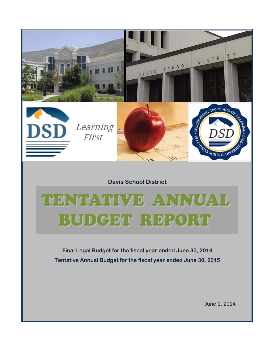

**Final Legal Budget for the fiscal year ended June 30, 2014 Tentative Annual Budget for the fiscal year ended June 30, 2015**

June 1, 2014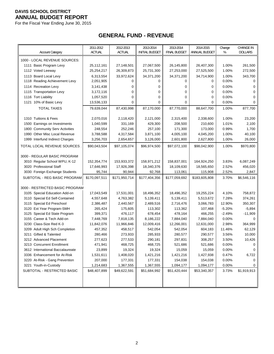For the Fiscal Year Ending June 30, 2015

## **GENERAL FUND - REVENUE**

|                                                                  | 2011-2012           | 2012-2013           | 2013-2014             | 2013-2014           | 2014-2015           | Change            | <b>CHANGE IN</b> |
|------------------------------------------------------------------|---------------------|---------------------|-----------------------|---------------------|---------------------|-------------------|------------------|
| <b>Account Category</b>                                          | <b>ACTUAL</b>       | <b>ACTUAL</b>       | <b>INITIAL BUDGET</b> | <b>FINAL BUDGET</b> | ANNUAL BUDGET       | %                 | <b>DOLLARS</b>   |
| 1000 - LOCAL REVENUE SOURCES:                                    |                     |                     |                       |                     |                     |                   |                  |
| 1111 Basic Program Levy                                          | 25,112,161          | 27,148,501          | 27,067,500            | 26,145,800          | 26,407,300          | 1.00%             | 261,500          |
| 1112 Voted Leeway                                                | 25,254,217          | 26,309,873          | 25,731,300            | 27,253,000          | 27,525,500          | 1.00%             | 272,500          |
| 1113 Board Local Levy                                            | 6,313,554           | 33,972,624          | 34,371,200            | 34,371,200          | 34,714,900          | 1.00%             | 343,700          |
| 1118 Reading Achievement Levy                                    | 2,051,905           | 0                   | 0                     | 0                   | 0                   | 0.00%             | 0                |
| 1114 Recreation Levy                                             | 3,141,438           | 0                   | 0                     | 0                   | 0                   | 0.00%             | 0                |
| 1115 Transportation Levy                                         | 3,172,116           | 0                   | 0                     | 0                   | 0                   | 0.00%             | 0                |
| 1116 Tort Liability                                              | 1,057,520           | 0                   | 0                     | 0                   | 0                   | 0.00%             | 0                |
| 1121 10% of Basic Levy                                           | 13,536,133          | 0                   | $\Omega$              | 0                   | 0                   | 0.00%             | 0                |
| <b>TOTAL TAXES</b>                                               | 79,639,044          | 87,430,998          | 87,170,000            | 87,770,000          | 88,647,700          | 1.00%             | 877,700          |
|                                                                  |                     |                     |                       |                     |                     |                   |                  |
| 1310 Tuitions & Fees                                             | 2,070,016           | 2,118,420           | 2,121,000             | 2,315,400           | 2,338,600           | 1.00%             | 23,200           |
| 1500 Earnings on Investments                                     | 1,040,599           | 331,169             | 429,300               | 208,500             | 210,600             | 1.01%             | 2,100            |
| 1800 Community Serv Activities                                   | 248,554             | 252,246             | 257,100               | 171,300             | 173,000             | 0.99%             | 1,700            |
| 1990 Other Misc Local Revenue                                    | 3,788,588           | 4,317,584           | 3,871,100             | 4,005,100           | 4,045,200           | 1.00%             | 40,100           |
| 1999 Interfund Indirect Charges                                  | 3,256,703           | 2,654,657           | 3,126,000             | 2,601,800           | 2,627,800           | 1.00%             | 26,000           |
| TOTAL LOCAL REVENUE SOURCES                                      | \$90,043,504        | \$97,105,074        | \$96,974,500          | \$97,072,100        | \$98,042,900        | 1.00%             | \$970,800        |
|                                                                  |                     |                     |                       |                     |                     |                   |                  |
| 3000 - REGULAR BASIC PROGRAM                                     |                     |                     |                       |                     |                     |                   |                  |
| 3010 Regular School WPU, K-12                                    | 152,354,774         | 153,933,372         | 158,971,212           | 158,837,001         | 164,924,250         | 3.83%             | 6,087,249        |
| 3020 Professional Staff                                          | 17,646,993          | 17,926,398          | 18,340,376            | 18,109,630          | 18,565,650          | 2.52%             | 456,020          |
| 3030 Foreign Exchange Students                                   | 95,744              | 90,944              | 92,768                | 113,061             | 115,908             | 2.52%             | 2,847            |
| SUBTOTAL - REG BASIC PROGRAM                                     | \$170,097,511       | \$171,950,714       | \$177,404,356         | \$177,059,692       | \$183,605,808       | 3.70%             | \$6,546,116      |
|                                                                  |                     |                     |                       |                     |                     |                   |                  |
| 3000 - RESTRICTED BASIC PROGRAM                                  |                     |                     |                       |                     |                     |                   |                  |
| 3105 Special Education Add-on                                    | 17,043,549          | 17,531,001          | 18,496,352            | 18,496,352          | 19,255,224          | 4.10%             | 758,872          |
| 3110 Special Ed Self-Contained                                   | 4,557,648           | 4,763,382           | 5,139,411             | 5,139,411           | 5,513,672           | 7.28%             | 374,261          |
| 3115 Special Ed Preschool                                        | 2,386,487           | 2,440,567           | 2,489,516             | 2,716,476           | 3,066,783           | 12.90%            | 350,307          |
| 3120 Ext Year Program-SMH                                        | 265,424             | 175,605             | 113,302               | 113,362             | 107,468             | $-5.20%$          | $-5,894$         |
| 3125 Special Ed State Program                                    | 399,371             | 476,117             | 678,454               | 478,164             | 466,255             | $-2.49%$          | $-11,909$        |
| 3155 Career & Tech Add-on                                        | 7,448,769           | 7,818,135           | 8,186,222             | 7,884,040           | 7,884,040           | $0.00\%$          | 0                |
| 3230 Class-Size Red K-3                                          | 11,842,076          | 11,966,846          | 12,009,416            | 12,266,001          | 12,631,000          | 2.98%             | 364,999          |
| 3209 Adult High Sch Completion                                   | 457,352             | 458,517             | 542,054               | 542,054             | 604,183             | 11.46%            | 62,129           |
| 3211 Gifted & Talented                                           | 280,466             | 273,933             | 285,933               | 280,577             | 290,577             | 3.56%             | 10,000           |
| 3212 Advanced Placement                                          | 277,623             | 277,533             | 290,181               | 297,831             | 308,257             | 3.50%             | 10,426           |
| 3213 Concurrent Enrollment                                       | 471,941             | 468,725             | 468,725               | 521,686             | 521,686             | 0.00%             |                  |
| 3612 International Baccalaureate<br>3336 Enhancement for At-Risk | 23,899<br>1,531,611 | 19,324<br>1,408,020 | 19,324<br>1,421,216   | 15,059<br>1,421,216 | 15,059<br>1,427,938 | $0.00\%$<br>0.47% | 0<br>6,722       |
| 3220 At-Risk - Gang Prevention                                   | 207,000             | 177,331             | 177,331               | 154,038             | 154,038             | 0.00%             | 0                |
| 3221 Youth-in-Custody                                            | 1,214,683           | 1,367,555           | 1,367,555             | 1,094,177           | 1,094,177           | 0.00%             | 0                |
| SUBTOTAL - RESTRICTED BASIC                                      | \$48,407,899        | \$49,622,591        | \$51,684,992          | \$51,420,444        | \$53,340,357        | 3.73%             | \$1,919,913      |
|                                                                  |                     |                     |                       |                     |                     |                   |                  |
|                                                                  |                     |                     |                       |                     |                     |                   |                  |
|                                                                  |                     |                     |                       |                     |                     |                   |                  |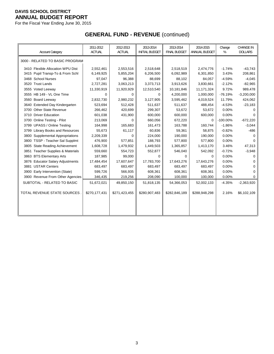For the Fiscal Year Ending June 30, 2015

# **GENERAL FUND - REVENUE** (continued)

| <b>Account Category</b>                  | 2011-2012<br><b>ACTUAL</b> | 2012-2013<br><b>ACTUAL</b> | 2013-2014<br><b>INITIAL BUDGET</b> | 2013-2014<br><b>FINAL BUDGET</b> | 2014-2015<br>ANNUAL BUDGET | Change<br>% | <b>CHANGE IN</b><br><b>DOLLARS</b> |
|------------------------------------------|----------------------------|----------------------------|------------------------------------|----------------------------------|----------------------------|-------------|------------------------------------|
| 3000 - RELATED TO BASIC PROGRAM          |                            |                            |                                    |                                  |                            |             |                                    |
| 3410 Flexible Allocation WPU Dist        | 2,552,461                  | 2,553,516                  | 2,518,648                          | 2,518,519                        | 2,474,776                  | $-1.74%$    | $-43,743$                          |
| 3415 Pupil Transp-To & From Schl         | 6,149,925                  | 5,855,204                  | 6,206,500                          | 6,092,989                        | 6,301,850                  | 3.43%       | 208,861                            |
| 3468 School Nurses                       | 97,047                     | 96,388                     | 88,699                             | 88,102                           | 84,057                     | $-4.59%$    | $-4,045$                           |
| 3520 Trust Lands                         | 2,727,281                  | 3,063,213                  | 3,373,713                          | 3,913,626                        | 3,830,661                  | $-2.12%$    | $-82,965$                          |
| 3555 Voted Leeway                        | 11,330,919                 | 11,920,929                 | 12,510,540                         | 10,181,846                       | 11,171,324                 | 9.72%       | 989,478                            |
| 3555 HB 149 - VL One Time                | 0                          | 0                          | $\Omega$                           | 4,200,000                        | 1,000,000                  | $-76.19%$   | $-3,200,000$                       |
| 3560 Board Leeway                        | 2,832,730                  | 2,980,232                  | 3,127,905                          | 3,595,462                        | 4,019,524                  | 11.79%      | 424,062                            |
| 3640 Extended Day Kindergarten           | 523,694                    | 512,428                    | 511,637                            | 511,637                          | 488,454                    | $-4.53%$    | $-23,183$                          |
| 3700 Other State Revenue                 | 266,462                    | 420,699                    | 299,307                            | 53,672                           | 53,672                     | 0.00%       | 0                                  |
| 3710 Driver Education                    | 601,038                    | 431,900                    | 600,000                            | 600,000                          | 600,000                    | 0.00%       | 0                                  |
| 3700 Online Testing - Pilot              | 213,069                    | $\Omega$                   | 660,056                            | 672,220                          | 0                          | $-100.00\%$ | $-672,220$                         |
| 3799 UPASS / Online Testing              | 164,998                    | 165,683                    | 161,473                            | 163,788                          | 160,744                    | $-1.86%$    | $-3,044$                           |
| 3799 Library Books and Resources         | 55,673                     | 61,117                     | 60,836                             | 59,361                           | 58,875                     | $-0.82%$    | $-486$                             |
| 3800 Supplemental Appropriations         | 2,209,339                  | $\mathbf 0$                | 224,000                            | 190,000                          | 190,000                    | 0.00%       | 0                                  |
| 3800 TSSP - Teacher Sal Supplmt          | 476,900                    | 577,851                    | 188,793                            | 577,800                          | 577,800                    | 0.00%       | 0                                  |
| <b>State Reading Achievement</b><br>3805 | 1,608,728                  | 1,479,932                  | 1,449,503                          | 1,365,857                        | 1,413,170                  | 3.46%       | 47,313                             |
| 3851 Teacher Supplies & Materials        | 559,660                    | 554,723                    | 552,877                            | 546,040                          | 542,092                    | $-0.72%$    | $-3,948$                           |
| 3863 BTS Elementary Arts                 | 187,985                    | 99,000                     | $\Omega$                           | $\Omega$                         | $\Omega$                   | 0.00%       | 0                                  |
| 3876 Educator Salary Adjustments         | 17,484,454                 | 17,607,647                 | 17,783,700                         | 17,643,276                       | 17,643,276                 | 0.00%       | 0                                  |
| 3881 USTAR Centers                       | 683,497                    | 683,497                    | 683,497                            | 683,497                          | 683,497                    | 0.00%       | 0                                  |
| 3900 Early Intervention (State)          | 599,726                    | 566,935                    | 608,361                            | 608,361                          | 608,361                    | 0.00%       | $\Omega$                           |
| 3900 Revenue From Other Agencies         | 346,435                    | 219,256                    | 208,090                            | 100,000                          | 100,000                    | 0.00%       | $\Omega$                           |
| SUBTOTAL - RELATED TO BASIC              | 51,672,021                 | 49,850,150                 | 51,818,135                         | 54,366,053                       | 52,002,133                 | $-4.35%$    | $-2,363,920$                       |
| TOTAL REVENUE STATE SOURCES.             | \$270,177,431              | \$271,423,455              | \$280,907,483                      | \$282,846,189                    | \$288,948,298              | 2.16%       | \$6,102,109                        |
|                                          |                            |                            |                                    |                                  |                            |             |                                    |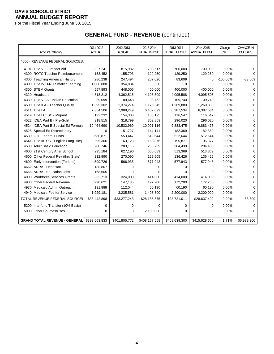For the Fiscal Year Ending June 30, 2015

# **GENERAL FUND - REVENUE** (continued)

| <b>Account Category</b>               | 2011-2012<br><b>ACTUAL</b> | 2012-2013<br><b>ACTUAL</b> | 2013-2014<br><b>INITIAL BUDGET</b> | 2013-2014<br><b>FINAL BUDGET</b> | 2014-2015<br>ANNUAL BUDGET | Change<br>% | <b>CHANGE IN</b><br><b>DOLLARS</b> |
|---------------------------------------|----------------------------|----------------------------|------------------------------------|----------------------------------|----------------------------|-------------|------------------------------------|
| 4000 - REVENUE FEDERAL SOURCES:       |                            |                            |                                    |                                  |                            |             |                                    |
| 4101 Title VIII - Impact Aid          | 827,241                    | 815,982                    | 703,617                            | 700,000                          | 700.000                    | 0.00%       | 0                                  |
| 4300 ROTC Teacher Reimbursement       | 153,452                    | 155,703                    | 129,250                            | 129,250                          | 129,250                    | 0.00%       | $\Omega$                           |
| 4300 Teaching American History        | 286,238                    | 247,494                    | 207,026                            | 83,609                           | 0                          | $-100.00\%$ | $-83,609$                          |
| 4300 Title IV D-NC Smaller Learning   | 1,008,880                  | 354,884                    | 0                                  | 0                                | 0                          | 0.00%       | 0                                  |
| 4300 STEM Grants                      | 557,893                    | 448,006                    | 400,000                            | 400,000                          | 400,000                    | 0.00%       | 0                                  |
| 4320 Headstart                        | 4,318,212                  | 4,362,515                  | 4,103,509                          | 4,095,508                        | 4,095,508                  | 0.00%       | $\mathbf 0$                        |
| 4330 Title VII A - Indian Education   | 89,099                     | 89,643                     | 98,762                             | 109,740                          | 109,740                    | 0.00%       | $\mathbf 0$                        |
| 4500 Title II A - Teacher Quality     | 1,395,302                  | 1,374,274                  | 1,176,345                          | 1,269,880                        | 1,269,880                  | 0.00%       | 0                                  |
| 4511 Title I A                        | 7,854,506                  | 7,988,249                  | 6,462,099                          | 6,387,534                        | 6,387,534                  | 0.00%       | 0                                  |
| 4519 Title I C SC - Migrant           | 122,232                    | 154,338                    | 135,195                            | 116,547                          | 116,547                    | 0.00%       | $\mathbf 0$                        |
| 4522 IDEA Part B - Pre-Schl           | 318,515                    | 318,799                    | 302,859                            | 296,020                          | 296,020                    | 0.00%       | 0                                  |
| 4524 IDEA Part B Special Ed Formula   | 10,464,690                 | 10,532,969                 | 10,001,116                         | 9,883,475                        | 9,883,475                  | 0.00%       | 0                                  |
| 4525 Special Ed Discretionary         | $\Omega$                   | 151,727                    | 144,141                            | 182,369                          | 182,369                    | 0.00%       | $\mathbf 0$                        |
| 4530 CTE Federal Funds                | 680,871                    | 553,447                    | 512,644                            | 512,644                          | 512,644                    | 0.00%       | $\mathbf 0$                        |
| 4541 Title III SC - English Lang. Acq | 295,306                    | 163,123                    | 153,876                            | 195,877                          | 195,877                    | 0.00%       | 0                                  |
| 4580 Adult Basic Education            | 280,746                    | 283,115                    | 266,709                            | 284,430                          | 284,430                    | 0.00%       | 0                                  |
| 4600 21st Century After School        | 295,184                    | 627,190                    | 600,689                            | 513,369                          | 513,369                    | 0.00%       | 0                                  |
| 4600 Other Federal Rev (thru State)   | 212,990                    | 270,090                    | 129,605                            | 136,426                          | 136,426                    | 0.00%       | $\mathbf 0$                        |
| 4600 Early Intervention (Federal)     | 599,726                    | 566,935                    | 577,943                            | 577,943                          | 577,943                    | 0.00%       | 0                                  |
| 4662 ARRA - Headstart                 | 138,807                    | 0                          | 0                                  | 0                                | 0                          | 0.00%       | $\mathbf 0$                        |
| 4665 ARRA - Education Jobs            | 168,605                    | 0                          | 0                                  | 0                                | 0                          | 0.00%       | 0                                  |
| 4900 Workforce Services Grants        | 322,713                    | 324,000                    | 414,000                            | 414,000                          | 414,000                    | 0.00%       | $\mathbf 0$                        |
| 4900 Other Federal Revenue            | 990,621                    | 147,135                    | 197,200                            | 172,200                          | 172,200                    | 0.00%       | 0                                  |
| 4930 Medicaid Admin Outreach          | 131,888                    | 112,044                    | 60,190                             | 60,190                           | 60,190                     | 0.00%       | $\mathbf 0$                        |
| 4940 Medicaid Fee for Service         | 1,929,181                  | 3,235,581                  | 1,408,800                          | 2,200,000                        | 2,200,000                  | 0.00%       | 0                                  |
| TOTAL REVENUE FEDERAL SOURCES         | \$33,442,898               | \$33,277,243               | \$28,185,575                       | \$28,721,011                     | \$28,637,402               | $-0.29%$    | $-83,609$                          |
| 5200 Interfund Transfer (10% Basic)   | 0                          | 0                          | $\Omega$                           | 0                                | 0                          | 0.00%       | 0                                  |
| 5900 Other Sources/Uses               | 0                          | $\Omega$                   | 2,100,000                          | 0                                | $\Omega$                   | 0.00%       | $\Omega$                           |
| <b>GRAND TOTAL REVENUE - GENERAL</b>  | \$393,663,833              | \$401,805,772              | \$408,167,558                      | \$408,639,300                    | \$415,628,600              | 1.71%       | \$6,989,300                        |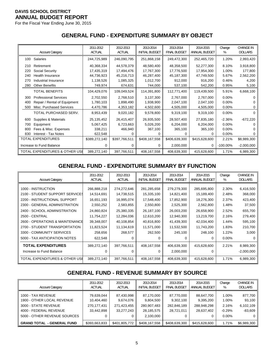For the Fiscal Year Ending June 30, 2015

### **GENERAL FUND - EXPENDITURE SUMMARY BY OBJECT**

|     | <b>Account Category</b>        | 2011-2012<br><b>ACTUAL</b> | 2012-2013<br><b>ACTUAL</b> | 2013-2014<br><b>INITIAL BUDGET</b> | 2013-2014<br><b>FINAL BUDGET</b> | 2014-2015<br>ANNUAL BUDGET | Change<br>% | <b>CHANGE IN</b><br><b>DOLLARS</b> |
|-----|--------------------------------|----------------------------|----------------------------|------------------------------------|----------------------------------|----------------------------|-------------|------------------------------------|
| 100 | Salaries                       | 244,725,989                | 246,090,795                | 251,868,158                        | 249,472,300                      | 252,465,720                | 1.20%       | 2,993,420                          |
| 210 | Retirement                     | 40,368,334                 | 44,578,379                 | 48,580,400                         | 48,358,500                       | 52,277,300                 | 8.10%       | 3,918,800                          |
| 220 | Social Security                | 17,435,319                 | 17,494,476                 | 17,767,300                         | 17,776,500                       | 17,954,300                 | 1.00%       | 177,800                            |
| 240 | <b>Health Insurance</b>        | 44,736,923                 | 45,216,713                 | 46,287,400                         | 45,187,300                       | 47,749,500                 | 5.67%       | 2,562,200                          |
| 270 | Industrial Insurance           | 1,138,526                  | 1,085,325                  | 1,012,700                          | 912,000                          | 916,200                    | 0.46%       | 4,200                              |
| 280 | <b>Other Benefits</b>          | 749,974                    | 674,631                    | 744,000                            | 537,100                          | 542,200                    | 0.95%       | 5,100                              |
|     | <b>TOTAL BENEFITS</b>          | 104,429,076                | 109,049,524                | 114,391,800                        | 112,771,400                      | 119,439,500                | 5.91%       | 6,668,100                          |
| 300 | <b>Professional Services</b>   | 2,702,550                  | 2,768,510                  | 3,137,300                          | 2,767,000                        | 2,767,000                  | $0.00\%$    |                                    |
| 400 | Repair / Rental of Equipment   | 1,780,103                  | 1,898,490                  | 1,938,900                          | 2,047,100                        | 2,047,100                  | 0.00%       |                                    |
| 500 | Misc. Purchased Services       | 4,470,786                  | 4,353,182                  | 4,502,600                          | 4,505,000                        | 4,505,000                  | 0.00%       |                                    |
|     | TOTAL PURCHASED SERV.          | 8,953,439                  | 9,020,182                  | 9,578,800                          | 9,319,100                        | 9,319,100                  | 0.00%       | 0                                  |
| 600 | Supplies & Materials           | 25, 135, 452               | 26,415,407                 | 26,935,500                         | 28,507,400                       | 27,835,180                 | $-2.36%$    | $-672,220$                         |
| 700 | Equipment                      | 5,067,425                  | 6,723,663                  | 5,026,200                          | 6,204,000                        | 6,204,000                  | $0.00\%$    |                                    |
| 800 | Fees & Misc. Expenses          | 338,211                    | 466,940                    | 367,100                            | 365,100                          | 365,100                    | 0.00%       |                                    |
| 830 | <b>Interest - Tax Notes</b>    | 622,548                    |                            |                                    | O                                | 0                          | 0.00%       |                                    |
|     | TOTAL EXPENDITURES             | \$389,272,140              | \$397,766,511              | \$408,167,558                      | \$406,639,300                    | \$415,628,600              | 2.21%       | \$8,989,300                        |
|     | Increase to Fund Balance       | 0                          | 0                          | 0                                  | 2,000,000                        | 0                          | $-100.00\%$ | $-2,000,000$                       |
|     | TOTAL EXPENDITURES & OTHER USE | 389,272,140                | 397,766,511                | 408,167,558                        | 408,639,300                      | 415,628,600                | 1.71%       | 6,989,300                          |

### **GENERAL FUND - EXPENDITURE SUMMARY BY FUNCTION**

| <b>Account Category</b>                                                                                                        | 2011-2012                                      | 2012-2013                           | 2013-2014                           | 2013-2014                                | 2014-2015                                       | Change                              | <b>CHANGE IN</b>                       |
|--------------------------------------------------------------------------------------------------------------------------------|------------------------------------------------|-------------------------------------|-------------------------------------|------------------------------------------|-------------------------------------------------|-------------------------------------|----------------------------------------|
|                                                                                                                                | <b>ACTUAL</b>                                  | <b>ACTUAL</b>                       | <b>INITIAL BUDGET</b>               | <b>FINAL BUDGET</b>                      | ANNUAL BUDGET                                   | %                                   | <b>DOLLARS</b>                         |
| 1000 - INSTRUCTION                                                                                                             | 266,888,218                                    | 274,272,646                         | 281,285,658                         | 279,279,300                              | 285,695,800                                     | 2.30%                               | 6,416,500                              |
| 2100 - STUDENT SUPPORT SERVICES                                                                                                | 14,514,691                                     | 14,738,515                          | 15,335,100                          | 14,821,400                               | 15,189,400                                      | 2.48%                               | 368,000                                |
| 2200 - INSTRUCTIONAL SUPPORT                                                                                                   | 16,651,193                                     | 16,995,074                          | 17,548,400                          | 17,852,900                               | 18,276,300                                      | 2.37%                               | 423,400                                |
| 2300 - GENERAL ADMINISTRATION                                                                                                  | 2,550,252                                      | 2,583,855                           | 2,550,800                           | 2,525,300                                | 2,562,800                                       | 1.48%                               | 37,500                                 |
| 2400 - SCHOOL ADMINISTRATION                                                                                                   | 24,860,824                                     | 25,380,335                          | 26,187,100                          | 26,003,200                               | 26,658,900                                      | 2.52%                               | 655,700                                |
| <b>2500 - CENTRAL</b>                                                                                                          | 11,754,227                                     | 12,284,036                          | 12,610,200                          | 12,940,300                               | 13,219,700                                      | 2.16%                               | 279,400                                |
| 2600 - OPERATIONS & MAINTENANCE<br>2700 - STUDENT TRANSPORTATION<br>3300 - COMMUNITY SERVICES<br>5000 - TAX ANTICIPATION NOTES | 39,348,007<br>11,823,524<br>258,656<br>622,548 | 40,108,854<br>11,134,619<br>268,577 | 40,816,800<br>11,571,000<br>262,500 | 41,439,300<br>11,532,500<br>245,100<br>0 | 42,034,400<br>11,743,200<br>248,100<br>$\Omega$ | 1.44%<br>1.83%<br>1.22%<br>$0.00\%$ | 595,100<br>210,700<br>3,000            |
| <b>TOTAL EXPENDITURES</b><br>Increase to Fund Balance<br><b>TOTAL EXPENDITURES &amp; OTHER USE</b>                             | 389,272,140<br>$\Omega$<br>389,272,140         | 397,766,511<br>0<br>397,766,511     | 408,167,558<br>0<br>408,167,558     | 406,639,300<br>2,000,000<br>408,639,300  | 415,628,600<br>0<br>415,628,600                 | 2.21%<br>1.71%                      | 8,989,300<br>$-2,000,000$<br>6,989,300 |

### **GENERAL FUND - REVENUE SUMMARY BY SOURCE**

| <b>Account Category</b>                                                                                                            | 2011-2012<br><b>ACTUAL</b>                            | 2012-2013<br><b>ACTUAL</b>                           | 2013-2014<br>INITIAL BUDGET                                       | 2013-2014<br><b>FINAL BUDGET</b>                     | 2014-2015<br>ANNUAL BUDGET                           | Change<br>%                                     | <b>CHANGE IN</b><br><b>DOLLARS</b>                 |
|------------------------------------------------------------------------------------------------------------------------------------|-------------------------------------------------------|------------------------------------------------------|-------------------------------------------------------------------|------------------------------------------------------|------------------------------------------------------|-------------------------------------------------|----------------------------------------------------|
| 1000 - TAX REVENUE<br>1900 - OTHER LOCAL REVENUE<br>3000 - STATE REVENUE<br>4000 - FEDERAL REVENUE<br>5000 - OTHER REVENUE SOURCES | 79,639,044<br>10,404,460<br>270,177,431<br>33.442.898 | 87,430,998<br>9,674,076<br>271,423,455<br>33,277,243 | 87,170,000<br>9,804,500<br>280,907,483<br>28,185,575<br>2,100,000 | 87,770,000<br>9,302,100<br>282,846,189<br>28,721,011 | 88,647,700<br>9,395,200<br>288,948,298<br>28,637,402 | 1.00%<br>1.00%<br>2.16%<br>$-0.29%$<br>$0.00\%$ | 877,700<br>93,100<br>6,102,109<br>$-83,609$<br>0 I |
| <b>GRAND TOTAL - GENERAL FUND</b>                                                                                                  | \$393,663,833                                         | \$401,805,772                                        | \$408,167,558                                                     | \$408.639.300                                        | \$415,628,600                                        | 1.71%                                           | \$6,989,300                                        |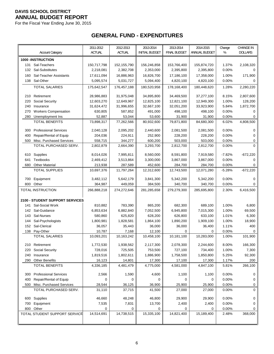For the Fiscal Year Ending June 30, 2015

# **GENERAL FUND - EXPENDITURES**

|     |                                 | 2011-2012   | 2012-2013     | 2013-2014             | 2013-2014           | 2014-2015     | Change   | CHANGE IN      |
|-----|---------------------------------|-------------|---------------|-----------------------|---------------------|---------------|----------|----------------|
|     | <b>Account Category</b>         | ACTUAL      | <b>ACTUAL</b> | <b>INITIAL BUDGET</b> | <b>FINAL BUDGET</b> | ANNUAL BUDGET | %        | <b>DOLLARS</b> |
|     | <b>1000 -INSTRUCTION</b>        |             |               |                       |                     |               |          |                |
|     | 131 Sal-Teachers                | 150,717,798 | 152,155,790   | 156,246,858           | 153,766,400         | 155,874,720   | 1.37%    | 2,108,320      |
|     | 132 Sal-Substitutes             | 2,218,081   | 2,382,708     | 2,353,000             | 2,395,800           | 2,395,800     | 0.00%    | $\Omega$       |
| 160 | Sal-Teacher Assistants          | 17,611,094  | 16,886,963    | 16,826,700            | 17,186,100          | 17,358,000    | 1.00%    | 171,900        |
|     | 138 Sal-Other                   | 5,095,574   | 5,031,727     | 5,094,400             | 4,820,100           | 4,820,100     | 0.00%    | $\Omega$       |
|     | <b>TOTAL SALARIES</b>           | 175,642,547 | 176,457,188   | 180,520,958           | 178,168,400         | 180,448,620   | 1.28%    | 2,280,220      |
|     |                                 |             |               |                       |                     |               |          |                |
| 210 | Retirement                      | 28,986,883  | 31,975,048    | 34,895,800            | 34,469,500          | 37,277,100    | 8.15%    | 2,807,600      |
| 220 | Social Security                 | 12,603,270  | 12,649,967    | 12,825,100            | 12,821,100          | 12,949,300    | 1.00%    | 128,200        |
| 240 | Insurance                       | 31,624,472  | 31,996,655    | 32,667,100            | 32,051,200          | 33,923,900    | 5.84%    | 1,872,700      |
| 270 | <b>Workers Compensation</b>     | 630,805     | 587,852       | 491,000               | 498,100             | 498,100       | 0.00%    | 0              |
| 280 | Unemployment Ins                | 52,887      | 53,044        | 53,600                | 31,900              | 31,900        | 0.00%    | 0              |
|     | <b>TOTAL BENEFITS</b>           | 73,898,317  | 77,262,566    | 80,932,600            | 79,871,800          | 84,680,300    | 6.02%    | 4,808,500      |
| 300 | <b>Professional Services</b>    | 2,040,128   | 2,095,202     | 2,440,600             | 2,081,500           | 2,081,500     | 0.00%    | $\mathbf 0$    |
| 400 | Repair/Rental of Equip          | 204,036     | 224,911       | 252,900               | 228,200             | 228,200       | 0.00%    | $\mathbf 0$    |
| 500 | Misc. Purchased Services        | 558,715     | 344,277       | 600,200               | 503,000             | 503,000       | 0.00%    | 0              |
|     | TOTAL PURCHASED SERV.           | 2,802,879   | 2,664,390     | 3,293,700             | 2,812,700           | 2,812,700     | $0.00\%$ | $\mathbf 0$    |
|     |                                 |             |               |                       |                     |               |          |                |
|     | 610 Supplies                    | 8,014,026   | 7,995,811     | 8,560,000             | 8,591,800           | 7,919,580     | $-7.82%$ | $-672,220$     |
| 641 | <b>Textbooks</b>                | 2,469,412   | 3,513,864     | 3,300,000             | 3,867,000           | 3,867,000     | 0.00%    | $\mathbf 0$    |
| 680 | <b>Other Material</b>           | 213,938     | 287,589       | 452,600               | 284,700             | 284,700       | 0.00%    | 0              |
|     | <b>TOTAL SUPPLIES</b>           | 10,697,376  | 11,797,264    | 12,312,600            | 12,743,500          | 12,071,280    | $-5.28%$ | $-672,220$     |
| 700 | Equipment                       | 3,482,112   | 5,642,179     | 3,841,300             | 5,342,200           | 5,342,200     | 0.00%    | 0              |
| 800 | Other                           | 364,987     | 449,059       | 384,500               | 340,700             | 340,700       | 0.00%    | $\mathbf 0$    |
|     | TOTAL INSTRUCTION               | 266,888,218 | 274,272,646   | 281,285,658           | 279,279,300         | 285,695,800   | 2.30%    | 6,416,500      |
|     |                                 |             |               |                       |                     |               |          |                |
|     | 2100 - STUDENT SUPPORT SERVICES |             |               |                       |                     |               |          |                |
|     | 141 Sal-Social Work             | 810,882     | 783,390       | 865,200               | 682,300             | 689,100       | 1.00%    | 6,800          |
|     | 142 Sal-Guidance                | 6,853,634   | 6,882,840     | 7,052,500             | 6,945,800           | 7,015,300     | 1.00%    | 69,500         |
| 143 | Sal-Nurses                      | 580,860     | 625,820       | 628,200               | 626,800             | 633,100       | 1.01%    | 6,300          |
| 144 | Sal-Psychologists               | 1,800,981   | 1,828,581     | 1,864,100             | 1,890,200           | 1,909,100     | 1.00%    | 18,900         |
| 152 | Sal-Clerical                    | 36,057      | 35,443        | 36,000                | 36,000              | 36,400        | 1.11%    | 400            |
|     | 138 Pay-Other                   | 10,787      | 7,168         | 12,100                | 0                   | $\mathbf 0$   | 0.00%    | 0              |
|     | <b>TOTAL SALARIES</b>           | 10,093,201  | 10,163,242    | 10,458,100            | 10,181,100          | 10,283,000    | 1.00%    | 101,900        |
| 210 | Retirement                      | 1,772,530   | 1,938,562     | 2,117,300             | 2,078,300           | 2,244,600     | 8.00%    | 166,300        |
| 220 | Social Security                 | 728,016     | 725,505       | 753,500               | 727,100             | 734,400       | 1.00%    | 7,300          |
| 240 | Insurance                       | 1,819,516   | 1,802,611     | 1,886,900             | 1,758,500           | 1,850,800     | 5.25%    | 92,300         |
| 290 | <b>Other Benefits</b>           | 16,123      | 14,801        | 17,300                | 17,100              | 17,300        | 1.17%    | 200            |
|     | <b>TOTAL BENEFITS</b>           | 4,336,185   | 4,481,479     | 4,775,000             | 4,581,000           | 4,847,100     | 5.81%    | 266,100        |
|     |                                 |             |               |                       |                     |               |          |                |
| 300 | <b>Professional Services</b>    | 2,566       | 1,590         | 4,600                 | 1,100               | 1,100         | 0.00%    | 0              |
| 400 | Repair/Rental of Equip          | 0           | 0             | 0                     | 0                   | 0             | 0.00%    | 0              |
|     | 500 Misc. Purchased Services    | 28,544      | 36,125        | 36,900                | 25,900              | 25,900        | 0.00%    | 0              |
|     | TOTAL PURCHASED SERV.           | 31,110      | 37,715        | 41,500                | 27,000              | 27,000        | 0.00%    | 0              |
|     | 600 Supplies                    | 46,660      | 48,248        | 46,800                | 29,900              | 29,900        | 0.00%    | 0              |
| 700 | Equipment                       | 7,535       | 7,831         | 13,700                | 2,400               | 2,400         | 0.00%    | 0              |
|     | 800 Other                       | 0           | 0             | 0                     | 0                   | 0             | 0.00%    | 0              |
|     | TOTAL STUDENT SUPPORT SERVICE   | 14,514,691  | 14,738,515    | 15,335,100            | 14,821,400          | 15,189,400    | 2.48%    | 368,000        |
|     |                                 |             |               |                       |                     |               |          |                |
|     |                                 |             |               |                       |                     |               |          |                |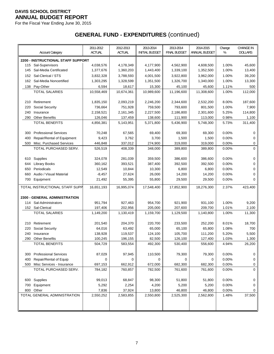For the Fiscal Year Ending June 30, 2015

|     |                                           | 2011-2012           | 2012-2013            | 2013-2014             | 2013-2014            | 2014-2015            | Change         | <b>CHANGE IN</b> |
|-----|-------------------------------------------|---------------------|----------------------|-----------------------|----------------------|----------------------|----------------|------------------|
|     | <b>Account Category</b>                   | ACTUAL              | <b>ACTUAL</b>        | <b>INITIAL BUDGET</b> | <b>FINAL BUDGET</b>  | ANNUAL BUDGET        | %              | <b>DOLLARS</b>   |
|     | <b>2200 - INSTRUCTIONAL STAFF SUPPORT</b> |                     |                      |                       |                      |                      |                |                  |
| 115 | Sal-Supervisors                           | 4,038,576           | 4,178,349            | 4,177,900             | 4,562,900            | 4,608,500            | 1.00%          | 45,600           |
| 145 | Sal-Media Certificated                    | 1,377,676           | 1,360,203            | 1,443,400             | 1,339,100            | 1,352,500            | 1.00%          | 13,400           |
| 152 | Sal-Clerical / STS                        | 3,832,328           | 3,788,593            | 4,001,500             | 3,922,800            | 3,962,000            | 1.00%          | 39,200           |
| 162 | Sal-Media Noncertified                    | 1,303,295           | 1,328,599            | 1,351,500             | 1,326,700            | 1,340,000            | 1.00%          | 13,300           |
|     |                                           |                     |                      |                       |                      |                      |                |                  |
| 138 | Pay-Other<br><b>TOTAL SALARIES</b>        | 6,594<br>10,558,469 | 18,617<br>10,674,361 | 15,300<br>10,989,600  | 45,100<br>11,196,600 | 45,600<br>11,308,600 | 1.11%<br>1.00% | 500<br>112,000   |
|     |                                           |                     |                      |                       |                      |                      |                |                  |
| 210 | Retirement                                | 1,835,150           | 2,093,219            | 2,246,200             | 2,344,600            | 2,532,200            | 8.00%          | 187,600          |
| 220 | Social Security                           | 736,664             | 751,928              | 759,500               | 793,600              | 801,500              | 1.00%          | 7,900            |
| 240 | Insurance                                 | 2,158,521           | 2,161,345            | 2,227,500             | 2,186,800            | 2,301,600            | 5.25%          | 114,800          |
| 290 | <b>Other Benefits</b>                     | 126,046             | 137,459              | 138,600               | 111,900              | 113,000              | 0.98%          | 1,100            |
|     | <b>TOTAL BENEFITS</b>                     | 4,856,381           | 5,143,951            | 5,371,800             | 5,436,900            | 5,748,300            | 5.73%          | 311,400          |
|     |                                           |                     |                      |                       |                      |                      |                |                  |
| 300 | <b>Professional Services</b>              | 70,248              | 67,565               | 69,400                | 69,300               | 69,300               | 0.00%          | 0                |
| 400 | Repair/Rental of Equipment                | 9,423               | 3,762                | 3,700                 | 1,500                | 1,500                | 0.00%          | 0                |
| 500 | Misc. Purchased Services                  | 446,848             | 337,012              | 274,900               | 319,000              | 319,000              | 0.00%          | 0                |
|     | TOTAL PURCHASED SERV.                     | 526,519             | 408,339              | 348,000               | 389,800              | 389,800              | 0.00%          | 0                |
|     |                                           |                     |                      |                       |                      |                      |                |                  |
| 610 | Supplies                                  | 324,078             | 281,039              | 359,500               | 386,600              | 386,600              | 0.00%          | 0                |
| 644 | <b>Library Books</b>                      | 360,162             | 393,521              | 387,400               | 392,500              | 392,500              | 0.00%          | 0                |
| 650 | Periodicals                               | 12,549              | 10,844               | 10,300                | 6,800                | 6,800                | 0.00%          | 0                |
| 660 | Audio / Visual Material                   | $-8,457$            | 27,624               | 26,000                | 14,200               | 14,200               | 0.00%          | 0                |
| 700 | Equipment                                 | 21,492              | 55,395               | 55,800                | 29,500               | 29,500               | 0.00%          | 0                |
|     | TOTAL INSTRUCTIONAL STAFF SUPP            | 16,651,193          | 16,995,074           | 17,548,400            | 17,852,900           | 18,276,300           | 2.37%          | 423,400          |
|     |                                           |                     |                      |                       |                      |                      |                |                  |
|     | 2300 - GENERAL ADMINISTRATION             |                     |                      |                       |                      |                      |                |                  |
|     | 114 Sal-Administrators                    | 951,794             | 927,463              | 954,700               | 921,900              | 931,100              | 1.00%          | 9,200            |
| 152 | Sal-Clerical                              | 197,406             | 202,956              | 205,000               | 207,600              | 209,700              | 1.01%          | 2,100            |
|     | <b>TOTAL SALARIES</b>                     | 1,149,200           | 1,130,419            | 1,159,700             | 1,129,500            | 1,140,800            | 1.00%          | 11,300           |
|     |                                           |                     |                      |                       |                      |                      |                |                  |
| 210 | Retirement                                | 201,540             | 204,370              | 220,700               | 233,500              | 252,200              | 8.01%          | 18,700           |
| 220 | Social Security                           | 64,016              | 63,492               | 65,000                | 65,100               | 65,800               | 1.08%          | 700              |
| 240 | Insurance                                 | 138,928             | 119,537              | 124,100               | 105,700              | 111,200              | 5.20%          | 5,500            |
| 290 | <b>Other Benefits</b>                     | 100,245             | 196,155              | 82,500                | 126,100              | 127,400              | 1.03%          | 1,300            |
|     | <b>TOTAL BENEFITS</b>                     | 504,729             | 583,554              | 492,300               | 530,400              | 556,600              | 4.94%          | 26,200           |
|     |                                           |                     |                      |                       |                      |                      |                |                  |
| 300 | <b>Professional Services</b>              | 87,029              | 97,945               | 110,500               | 79,300               | 79,300               | 0.00%          | 0                |
| 400 | Repair/Rental of Equip                    | $\mathbf 0$         | 0                    | 0                     | 0                    | 0                    | 0.00%          | 0                |
| 500 | Misc Services - Insurance                 | 697,153             | 662,912              | 672,000               | 682,300              | 682,300              | 0.00%          | 0                |
|     | TOTAL PURCHASED SERV.                     | 784,182             | 760,857              | 782,500               | 761,600              | 761,600              | 0.00%          | 0                |
|     |                                           |                     |                      |                       |                      |                      |                |                  |
|     | 600 Supplies                              | 99,013              | 68,847               | 98,300                | 51,800               | 51,800               | $0.00\%$       | 0                |
| 700 | Equipment                                 | 5,292               | 2,254                | 4,200                 | 5,200                | 5,200                | 0.00%          | 0                |
| 800 | Other                                     | 7,836               | 37,924               | 13,800                | 46,800               | 46,800               | 0.00%          | 0                |
|     | TOTAL GENERAL ADMINISTRATION              | 2,550,252           | 2,583,855            | 2,550,800             | 2,525,300            | 2,562,800            | 1.48%          | 37,500           |
|     |                                           |                     |                      |                       |                      |                      |                |                  |
|     |                                           |                     |                      |                       |                      |                      |                |                  |
|     |                                           |                     |                      |                       |                      |                      |                |                  |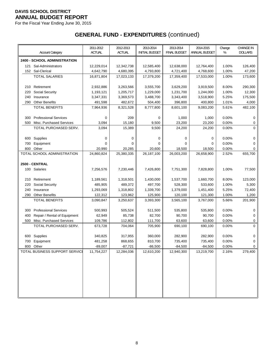For the Fiscal Year Ending June 30, 2015

|     | <b>Account Category</b>             | 2011-2012<br><b>ACTUAL</b> | 2012-2013<br><b>ACTUAL</b> | 2013-2014<br><b>INITIAL BUDGET</b> | 2013-2014<br><b>FINAL BUDGET</b> | 2014-2015<br>ANNUAL BUDGET | Change<br>%    | <b>CHANGE IN</b><br><b>DOLLARS</b> |
|-----|-------------------------------------|----------------------------|----------------------------|------------------------------------|----------------------------------|----------------------------|----------------|------------------------------------|
|     | <b>2400 - SCHOOL ADMINISTRATION</b> |                            |                            |                                    |                                  |                            |                |                                    |
| 121 | Sal-Administrators                  | 12,229,014                 | 12,342,738                 | 12,585,400                         | 12,638,000                       | 12,764,400                 | 1.00%          | 126,400                            |
|     | 152 Sal-Clerical                    | 4,642,790                  | 4,680,395                  | 4,793,800                          | 4,721,400                        | 4,768,600                  | 1.00%          | 47,200                             |
|     | <b>TOTAL SALARIES</b>               | 16,871,804                 | 17,023,133                 | 17,379,200                         | 17,359,400                       | 17,533,000                 | 1.00%          | 173,600                            |
|     |                                     |                            |                            |                                    |                                  |                            |                |                                    |
| 210 | Retirement                          | 2,932,886                  | 3,263,566                  | 3,555,700                          | 3,629,200                        | 3,919,500                  | 8.00%          | 290,300                            |
| 220 | Social Security                     | 1,193,121                  | 1,205,717                  | 1,229,000                          | 1,231,700                        | 1,244,000                  | 1.00%          | 12,300                             |
| 240 | Insurance                           | 3,347,331                  | 3,369,573                  | 3,488,700                          | 3,343,400                        | 3,518,900                  | 5.25%          | 175,500                            |
| 290 | <b>Other Benefits</b>               | 491,598                    | 482,672                    | 504,400                            | 396,800                          | 400,800                    | 1.01%          | 4,000                              |
|     | <b>TOTAL BENEFITS</b>               | 7,964,936                  | 8,321,528                  | 8,777,800                          | 8,601,100                        | 9,083,200                  | 5.61%          | 482,100                            |
| 300 | <b>Professional Services</b>        | 0                          | 209                        | 0                                  | 1,000                            | 1,000                      | 0.00%          | 0                                  |
| 500 | Misc. Purchased Services            | 3,094                      | 15,180                     | 9,500                              | 23,200                           | 23,200                     | 0.00%          | 0                                  |
|     | TOTAL PURCHASED SERV.               | 3,094                      | 15,389                     | 9,500                              | 24,200                           | 24,200                     | 0.00%          | 0                                  |
|     |                                     |                            |                            |                                    |                                  |                            |                |                                    |
| 600 | Supplies                            | 0                          | 0                          | 0                                  | 0                                | 0                          | 0.00%          | 0                                  |
| 700 | Equipment                           | $\Omega$                   | $\Omega$                   | 0                                  | 0                                | $\mathbf 0$                | 0.00%          | 0                                  |
| 800 | Other                               | 20,990                     | 20,285                     | 20,600                             | 18,500                           | 18,500                     | 0.00%          | 0                                  |
|     | TOTAL SCHOOL ADMINISTRATION         | 24.860.824                 | 25,380,335                 | 26,187,100                         | 26,003,200                       | 26,658,900                 | 2.52%          | 655,700                            |
|     |                                     |                            |                            |                                    |                                  |                            |                |                                    |
|     | 2500 - CENTRAL                      |                            |                            |                                    |                                  |                            |                |                                    |
|     | 100 Salaries                        | 7,256,576                  | 7,230,446                  | 7,426,800                          | 7,751,300                        | 7,828,800                  | 1.00%          | 77,500                             |
| 210 | Retirement                          | 1,189,561                  | 1,318,501                  | 1,430,000                          | 1,537,700                        | 1,660,700                  | 8.00%          | 123,000                            |
| 220 | Social Security                     | 485,905                    | 489,372                    | 497,700                            | 528,300                          | 533,600                    | 1.00%          | 5,300                              |
| 240 | Insurance                           | 1,293,069                  | 1,318,802                  | 1,339,700                          | 1,379,000                        | 1,451,400                  | 5.25%          | 72,400                             |
| 290 | <b>Other Benefits</b>               | 122,312                    | 123,962                    | 125,900                            | 120,100                          | 121,300                    | 1.00%          | 1,200                              |
|     | <b>TOTAL BENEFITS</b>               | 3,090,847                  | 3,250,637                  | 3,393,300                          | 3,565,100                        | 3,767,000                  | 5.66%          | 201,900                            |
|     |                                     |                            |                            |                                    |                                  |                            |                |                                    |
| 300 | <b>Professional Services</b>        | 500,993                    | 505,524                    | 511,500                            | 535,800                          | 535,800                    | 0.00%          | 0                                  |
| 400 | Repair / Rental of Equipment        | 62,949                     | 85,738                     | 82,700                             | 90,700                           | 90,700                     | 0.00%          | 0                                  |
| 500 | Misc. Purchased Services            | 109,786                    | 112,802                    | 111,700                            | 63,600                           | 63,600                     | 0.00%          | 0                                  |
|     | TOTAL PURCHASED SERV.               | 673,728                    | 704,064                    | 705,900                            | 690,100                          | 690,100                    | 0.00%          | 0                                  |
|     |                                     |                            |                            |                                    |                                  |                            |                |                                    |
| 600 | Supplies                            | 340,825                    | 317,955                    | 360,000                            | 282,900                          | 282,900                    | 0.00%          | 0                                  |
| 700 | Equipment<br>800 Other              | 481,258<br>$-89,007$       | 868,655                    | 810,700<br>$-86,500$               | 735,400                          | 735,400                    | 0.00%<br>0.00% | 0<br>$\mathbf 0$                   |
|     | TOTAL BUSINESS SUPPORT SERVICE      | 11,754,227                 | $-87,721$<br>12,284,036    | 12,610,200                         | $-84,500$<br>12,940,300          | $-84,500$<br>13,219,700    | 2.16%          | 279,400                            |
|     |                                     |                            |                            |                                    |                                  |                            |                |                                    |
|     |                                     |                            |                            |                                    |                                  |                            |                |                                    |
|     |                                     |                            |                            |                                    |                                  |                            |                |                                    |
|     |                                     |                            |                            |                                    |                                  |                            |                |                                    |
|     |                                     |                            |                            |                                    |                                  |                            |                |                                    |
|     |                                     |                            |                            |                                    |                                  |                            |                |                                    |
|     |                                     |                            |                            |                                    |                                  |                            |                |                                    |
|     |                                     |                            |                            |                                    |                                  |                            |                |                                    |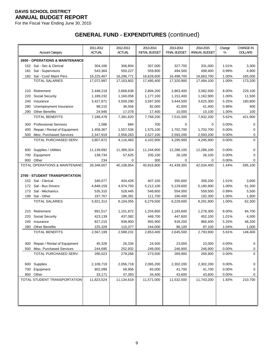For the Fiscal Year Ending June 30, 2015

|     | <b>Account Category</b>                    | 2011-2012<br><b>ACTUAL</b> | 2012-2013<br><b>ACTUAL</b> | 2013-2014<br><b>INITIAL BUDGET</b> | 2013-2014<br><b>FINAL BUDGET</b> | 2014-2015<br>ANNUAL BUDGET | Change<br>%    | <b>CHANGE IN</b><br><b>DOLLARS</b> |
|-----|--------------------------------------------|----------------------------|----------------------------|------------------------------------|----------------------------------|----------------------------|----------------|------------------------------------|
|     | <b>2600 - OPERATIONS &amp; MAINTENANCE</b> |                            |                            |                                    |                                  |                            |                |                                    |
|     | 152 Sal - Sec & Clerical                   | 304,166                    | 306,804                    | 307,000                            | 327,700                          | 331,000                    | 1.01%          | 3,300                              |
| 181 | Sal - Supervisors                          | 543,364                    | 550,227                    | 559,800                            | 494,500                          | 499,400                    | 0.99%          | 4,900                              |
|     | 182 Sal - Cust/ Maint Pers                 | 16,225,467                 | 16,296,771                 | 16,628,600                         | 16,498,700                       | 16,663,700                 | 1.00%          | 165,000                            |
|     | <b>TOTAL SALARIES</b>                      | 17,072,997                 | 17,153,802                 | 17,495,400                         | 17,320,900                       | 17,494,100                 | 1.00%          | 173,200                            |
|     |                                            |                            |                            |                                    |                                  |                            |                |                                    |
| 210 | Retirement                                 | 2,448,219                  | 2,668,638                  | 2,894,200                          | 2,863,400                        | 3,092,500                  | 8.00%          | 229,100                            |
| 220 | Social Security                            | 1,189,232                  | 1,160,058                  | 1,177,100                          | 1,151,400                        | 1,162,900                  | 1.00%          | 11,500                             |
| 240 | Insurance                                  | 3,427,871                  | 3,509,290                  | 3,597,500                          | 3,444,500                        | 3,625,300                  | 5.25%          | 180,800                            |
| 280 | Unemployment Insurance                     | 98,210                     | 36,556                     | 82,000                             | 41,000                           | 41,400                     | 0.98%          | 400                                |
| 290 | <b>Other Benefits</b>                      | 24,946                     | 17,078                     | 17,400                             | 10,000                           | 10,100                     | 1.00%          | 100                                |
|     | <b>TOTAL BENEFITS</b>                      | 7,188,478                  | 7,391,620                  | 7,768,200                          | 7,510,300                        | 7,932,200                  | 5.62%          | 421,900                            |
|     |                                            |                            |                            |                                    |                                  |                            |                |                                    |
| 300 | <b>Professional Services</b>               | 1,586                      | 684                        | 700                                | 0                                | 0                          | 0.00%          | 0                                  |
| 400 | Repair / Rental of Equipment               | 1,458,367                  | 1,557,536                  | 1,575,100                          | 1,702,700                        | 1,702,700                  | 0.00%          | 0                                  |
| 500 | Misc. Purchased Services                   | 2,347,919                  | 2,558,263                  | 2,527,100                          | 2,593,200                        | 2,593,200                  | 0.00%          | 0                                  |
|     | TOTAL PURCHASED SERV.                      | 3,807,872                  | 4,116,483                  | 4,102,900                          | 4,295,900                        | 4,295,900                  | 0.00%          | $\mathbf 0$                        |
|     |                                            |                            |                            |                                    |                                  |                            |                |                                    |
| 600 | Supplies / Utilities                       | 11,139,692                 | 11,389,324                 | 11,244,900<br>205,100              | 12,286,100                       | 12,286,100                 | 0.00%<br>0.00% | 0                                  |
| 700 | Equipment                                  | 138,734                    | 57,625                     |                                    | 26,100                           | 26,100                     |                | 0                                  |
| 800 | Other<br>TOTAL OPERATIONS & MAINTENANC     | 234                        | 0                          | 300                                | 0                                | 0                          | 0.00%          | 0                                  |
|     |                                            | 39,348,007                 | 40,108,854                 | 40,816,800                         | 41,439,300                       | 42,034,400                 | 1.44%          | 595,100                            |
|     | <b>2700 - STUDENT TRANSPORTATION</b>       |                            |                            |                                    |                                  |                            |                |                                    |
|     | 152 Sal - Clerical                         | 340,077                    | 404,426                    | 407,100                            | 355,600                          | 359,200                    | 1.01%          | 3,600                              |
|     | 172 Sal - Bus Drivers                      | 4,848,159                  | 4,974,793                  | 5,212,100                          | 5,129,600                        | 5,180,900                  | 1.00%          | 51,300                             |
| 173 | Sal - Mechanics                            | 535,310                    | 528,445                    | 548,600                            | 554,000                          | 559,500                    | 0.99%          | 5,500                              |
| 199 | Sal - Other                                | 197,767                    | 196,391                    | 111,700                            | 190,400                          | 192,300                    | 1.00%          | 1,900                              |
|     | <b>TOTAL SALARIES</b>                      | 5,921,313                  | 6,104,055                  | 6,279,500                          | 6,229,600                        | 6,291,900                  | 1.00%          | 62,300                             |
|     |                                            |                            |                            |                                    |                                  |                            |                |                                    |
| 210 | Retirement                                 | 991,517                    | 1,101,872                  | 1,204,800                          | 1,183,600                        | 1,278,300                  | 8.00%          | 94,700                             |
| 220 | Social Security                            | 423,139                    | 437,082                    | 448,700                            | 447,600                          | 452,100                    | 1.01%          | 4,500                              |
| 240 | Insurance                                  | 927,215                    | 938,900                    | 955,900                            | 918,200                          | 966,400                    | 5.25%          | 48,200                             |
| 280 | <b>Other Benefits</b>                      | 225,328                    | 110,377                    | 244,000                            | 96,100                           | 97,100                     | 1.04%          | 1,000                              |
|     | <b>TOTAL BENEFITS</b>                      | 2,567,199                  | 2,588,231                  | 2,853,400                          | 2,645,500                        | 2,793,900                  | 5.61%          | 148,400                            |
|     |                                            |                            |                            |                                    |                                  |                            |                |                                    |
|     | 400 Repair / Rental of Equipment           | 45,328                     | 26,334                     | 24,500                             | 23,000                           | 23,000                     | 0.00%          | 0                                  |
|     | 500 Misc. Purchased Services               | 244,695                    | 252,932                    | 249,000                            | 246,900                          | 246,900                    | 0.00%          | 0                                  |
|     | TOTAL PURCHASED SERV.                      | 290,023                    | 279,266                    | 273,500                            | 269,900                          | 269,900                    | 0.00%          | $\mathbf 0$                        |
|     |                                            |                            |                            |                                    |                                  |                            |                |                                    |
|     | 600 Supplies                               | 2,109,719                  | 2,056,718                  | 2,065,200                          | 2,302,200                        | 2,302,200                  | 0.00%          | 0                                  |
|     | 700 Equipment                              | 902,099                    | 58,956                     | 65,000                             | 41,700                           | 41,700                     | 0.00%          | 0                                  |
|     | 800 Other                                  | 33,171                     | 47,393                     | 34,400                             | 43,600                           | 43,600                     | 0.00%          | 0                                  |
|     | TOTAL STUDENT TRANSPORTATION               | 11,823,524                 | 11,134,619                 | 11,571,000                         | 11,532,500                       | 11,743,200                 | 1.83%          | 210,700                            |
|     |                                            |                            |                            |                                    |                                  |                            |                |                                    |
|     |                                            |                            |                            |                                    |                                  |                            |                |                                    |
|     |                                            |                            |                            |                                    |                                  |                            |                |                                    |
|     |                                            |                            |                            |                                    |                                  |                            |                |                                    |
|     |                                            |                            |                            |                                    |                                  |                            |                |                                    |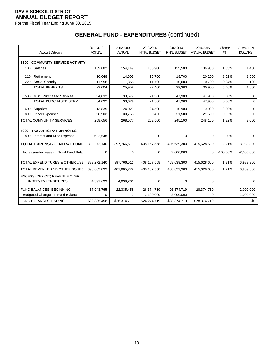For the Fiscal Year Ending June 30, 2015

| <b>Account Category</b>                               | 2011-2012<br><b>ACTUAL</b> | 2012-2013<br><b>ACTUAL</b> | 2013-2014<br><b>INITIAL BUDGET</b> | 2013-2014<br><b>FINAL BUDGET</b> | 2014-2015<br>ANNUAL BUDGET | Change<br>% | <b>CHANGE IN</b><br><b>DOLLARS</b> |
|-------------------------------------------------------|----------------------------|----------------------------|------------------------------------|----------------------------------|----------------------------|-------------|------------------------------------|
| <b>3300 - COMMUNITY SERVICE ACTIVITY</b>              |                            |                            |                                    |                                  |                            |             |                                    |
| 100 Salaries                                          | 159,882                    | 154,149                    | 158,900                            | 135,500                          | 136,900                    | 1.03%       | 1,400                              |
| Retirement<br>210                                     | 10,048                     | 14,603                     | 15,700                             | 18.700                           | 20,200                     | 8.02%       | 1,500                              |
| <b>Social Security</b><br>220                         | 11,956                     | 11,355                     | 11,700                             | 10,600                           | 10,700                     | 0.94%       | 100                                |
| <b>TOTAL BENEFITS</b>                                 | 22,004                     | 25,958                     | 27,400                             | 29,300                           | 30,900                     | 5.46%       | 1,600                              |
| Misc. Purchased Services<br>500                       | 34,032                     | 33,679                     | 21,300                             | 47,900                           | 47,900                     | 0.00%       | 0                                  |
| TOTAL PURCHASED SERV.                                 | 34,032                     | 33,679                     | 21,300                             | 47,900                           | 47,900                     | 0.00%       | $\Omega$                           |
| Supplies<br>600                                       | 13,835                     | 24.023                     | 24,500                             | 10,900                           | 10.900                     | 0.00%       | $\Omega$                           |
| 800<br><b>Other Expenses</b>                          | 28,903                     | 30,768                     | 30,400                             | 21,500                           | 21,500                     | 0.00%       | 0                                  |
| <b>TOTAL COMMUNITY SERVICES</b>                       | 258,656                    | 268,577                    | 262,500                            | 245,100                          | 248,100                    | 1.22%       | 3,000                              |
| <b>5000 - TAX ANTICIPATION NOTES</b>                  |                            |                            |                                    |                                  |                            |             |                                    |
| Interest and Misc Expense<br>800                      | 622,548                    | 0                          | 0                                  | 0                                | 0                          | 0.00%       | 0                                  |
| <b>TOTAL EXPENSE-GENERAL FUND</b>                     | 389,272,140                | 397,766,511                | 408,167,558                        | 406.639.300                      | 415,628,600                | 2.21%       | 8,989,300                          |
| Increase/(decrease) in Total Fund Bala                | $\Omega$                   | $\Omega$                   | $\Omega$                           | 2,000,000                        | $\Omega$                   | $-100.00\%$ | $-2,000,000$                       |
| <b>TOTAL EXPENDITURES &amp; OTHER USE</b>             | 389,272,140                | 397,766,511                | 408,167,558                        | 408,639,300                      | 415,628,600                | 1.71%       | 6,989,300                          |
| TOTAL REVENUE AND OTHER SOURC                         | 393,663,833                | 401,805,772                | 408,167,558                        | 408,639,300                      | 415,628,600                | 1.71%       | 6,989,300                          |
| EXCESS (DEFICIT) REVENUE OVER<br>(UNDER) EXPENDITURES | 4,391,693                  | 4,039,261                  | $\mathbf 0$                        | $\mathbf 0$                      | 0                          |             | $\Omega$                           |
| FUND BALANCES, BEGINNING                              | 17,943,765                 | 22,335,458                 | 26,374,719                         | 26,374,719                       | 28,374,719                 |             | 2,000,000                          |
| <b>Budgeted Changes in Fund Balance</b>               | 0                          | 0                          | $-2,100,000$                       | 2,000,000                        | 0                          |             | $-2,000,000$                       |
| FUND BALANCES, ENDING                                 | \$22,335,458               | \$26,374,719               | \$24,274,719                       | \$28,374,719                     | \$28,374,719               |             | \$0                                |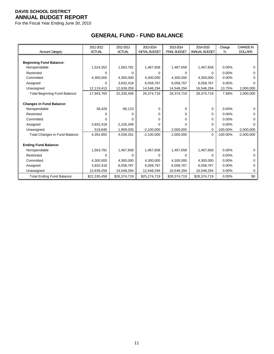For the Fiscal Year Ending June 30, 2015

# **GENERAL FUND - FUND BALANCE**

|                                      | 2011-2012     | 2012-2013     | 2013-2014             | 2013-2014           | 2014-2015     | Change      | <b>CHANGE IN</b> |
|--------------------------------------|---------------|---------------|-----------------------|---------------------|---------------|-------------|------------------|
| Account Category                     | <b>ACTUAL</b> | <b>ACTUAL</b> | <b>INITIAL BUDGET</b> | <b>FINAL BUDGET</b> | ANNUAL BUDGET | %           | <b>DOLLARS</b>   |
|                                      |               |               |                       |                     |               |             |                  |
| <b>Beginning Fund Balance:</b>       |               |               |                       |                     |               |             |                  |
| Nonspendable                         | 1,524,352     | 1,563,781     | 1,467,658             | 1,467,658           | 1,467,658     | $0.00\%$    | 0                |
| Restricted                           | $\Omega$      | 0             | 0                     | 0                   | 0             | $0.00\%$    | 0                |
| Committed                            | 4,300,000     | 4,300,000     | 4,300,000             | 4,300,000           | 4,300,000     | $0.00\%$    | 0                |
| Assigned                             | 0             | 3,832,418     | 6,058,767             | 6,058,767           | 6,058,767     | 0.00%       | 0                |
| Unassigned                           | 12,119,413    | 12,639,259    | 14,548,294            | 14,548,294          | 16,548,294    | 13.75%      | 2,000,000        |
| <b>Total Beginning Fund Balance:</b> | 17,943,765    | 22,335,458    | 26,374,719            | 26,374,719          | 28,374,719    | 7.58%       | 2,000,000        |
|                                      |               |               |                       |                     |               |             |                  |
| <b>Changes in Fund Balance:</b>      |               |               |                       |                     |               |             |                  |
| Nonspendable                         | 39,429        | $-96, 123$    | 0                     | 0                   | 0             | 0.00%       | 0                |
| Restricted                           | $\Omega$      |               | 0                     | 0                   | 0             | 0.00%       | 0                |
| Committed                            | $\Omega$      |               | 0                     | 0                   | 0             | $0.00\%$    | 0                |
| Assigned                             | 3,832,418     | 2,226,349     | 0                     | 0                   | 0             | $0.00\%$    | $\Omega$         |
| Unassigned                           | 519,846       | 1,909,035     | $-2,100,000$          | 2,000,000           | $\Omega$      | $-100.00\%$ | $-2,000,000$     |
| Total Changes in Fund Balance:       | 4,391,693     | 4,039,261     | $-2,100,000$          | 2,000,000           | $\mathbf 0$   | $-100.00\%$ | $-2,000,000$     |
|                                      |               |               |                       |                     |               |             |                  |
| <b>Ending Fund Balance:</b>          |               |               |                       |                     |               |             |                  |
| Nonspendable                         | 1,563,781     | 1,467,658     | 1,467,658             | 1,467,658           | 1,467,658     | $0.00\%$    | 0                |
| Restricted                           | $\Omega$      | 0             | 0                     | $\Omega$            | 0             | 0.00%       |                  |
| Committed                            | 4,300,000     | 4,300,000     | 4,300,000             | 4,300,000           | 4,300,000     | $0.00\%$    | 0                |
| Assigned                             | 3,832,418     | 6,058,767     | 6,058,767             | 6,058,767           | 6,058,767     | 0.00%       | 0                |
| Unassigned                           | 12,639,259    | 14,548,294    | 12,448,294            | 16,548,294          | 16,548,294    | 0.00%       | 0                |
| Total Ending Fund Balance:           | \$22,335,458  | \$26,374,719  | \$25,274,719          | \$28,374,719        | \$28,374,719  | 0.00%       | \$0              |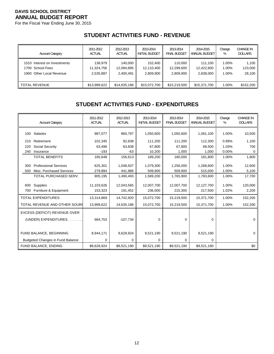For the Fiscal Year Ending June 30, 2015

## **STUDENT ACTIVITIES FUND - REVENUE**

| <b>Account Category</b>      | 2011-2012     | 2012-2013     | 2013-2014             | 2013-2014           | 2014-2015     | Change | <b>CHANGE IN</b> |
|------------------------------|---------------|---------------|-----------------------|---------------------|---------------|--------|------------------|
|                              | <b>ACTUAL</b> | <b>ACTUAL</b> | <b>INITIAL BUDGET</b> | <b>FINAL BUDGET</b> | ANNUAL BUDGET | %      | <b>DOLLARS</b>   |
| 1510 Interest on Investments | 138,979       | 140.000       | 152.400               | 110.000             | 111.100       | 1.00%  | 1,100            |
| 1700 School Fees             | 11,324,756    | 12,094,695    | 12,110,400            | 12,299,600          | 12,422,600    | 1.00%  | 123,000          |
| 1900 Other Local Revenue     | 2,535,887     | 2,400,491     | 2,809,900             | 2,809,900           | 2,838,000     | 1.00%  | 28,100           |
| <b>TOTAL REVENUE</b>         | \$13,999,622  | \$14,635,186  | \$15,072,700          | \$15,219,500        | \$15,371,700  | 1.00%  | \$152,200        |

### **STUDENT ACTIVITIES FUND - EXPENDITURES**

| <b>Account Category</b>                 | 2011-2012<br><b>ACTUAL</b> | 2012-2013<br><b>ACTUAL</b> | 2013-2014<br><b>INITIAL BUDGET</b> | 2013-2014<br><b>FINAL BUDGET</b> | 2014-2015<br>ANNUAL BUDGET | Change<br>% | <b>CHANGE IN</b><br><b>DOLLARS</b> |
|-----------------------------------------|----------------------------|----------------------------|------------------------------------|----------------------------------|----------------------------|-------------|------------------------------------|
| 100 Salaries                            | 987,077                    | 860,797                    | 1,050,600                          | 1,050,600                        | 1,061,100                  | 1.00%       | 10,500                             |
| Retirement<br>210                       | 102,345                    | 92,838                     | 111,200                            | 111,200                          | 112,300                    | 0.99%       | 1,100                              |
| Social Security<br>220                  | 63,496                     | 63,838                     | 67,800                             | 67,800                           | 68,500                     | 1.03%       | 700                                |
| 240<br>Insurance                        | $-193$                     | $-63$                      | 10,200                             | 1,000                            | 1,000                      | 0.00%       | $\Omega$                           |
| <b>TOTAL BENEFITS</b>                   | 165,648                    | 156,613                    | 189,200                            | 180,000                          | 181,800                    | 1.00%       | 1,800                              |
| <b>Professional Services</b><br>300     | 625,301                    | 1,048,507                  | 1,079,300                          | 1,256,000                        | 1,268,600                  | 1.00%       | 12,600                             |
| Misc. Purchased Services<br>500         | 279,894                    | 441,986                    | 509,900                            | 509,900                          | 515,000                    | 1.00%       | 5,100                              |
| TOTAL PURCHASED SERV.                   | 905,195                    | 1,490,493                  | 1,589,200                          | 1,765,900                        | 1,783,600                  | 1.00%       | 17,700                             |
| Supplies<br>600                         | 11,103,626                 | 12,043,565                 | 12,007,700                         | 12,007,700                       | 12,127,700                 | 1.00%       | 120,000                            |
| Furniture & Equipment<br>700            | 153,323                    | 191,452                    | 236,000                            | 215,300                          | 217,500                    | 1.02%       | 2,200                              |
| <b>TOTAL EXPENDITURES</b>               | 13,314,869                 | 14,742,920                 | 15,072,700                         | 15,219,500                       | 15,371,700                 | 1.00%       | 152,200                            |
| TOTAL REVENUE AND OTHER SOURC           | 13,999,622                 | 14,635,186                 | 15,072,700                         | 15,219,500                       | 15,371,700                 | 1.00%       | 152,200                            |
| EXCESS (DEFICIT) REVENUE OVER           |                            |                            |                                    |                                  |                            |             |                                    |
| (UNDER) EXPENDITURES                    | 684,753                    | $-107,734$                 | $\Omega$                           | 0                                | 0                          |             | $\Omega$                           |
|                                         |                            |                            |                                    |                                  |                            |             |                                    |
| FUND BALANCE, BEGINNING                 | 8,944,171                  | 9,628,924                  | 9,521,190                          | 9,521,190                        | 9,521,190                  |             | $\Omega$                           |
| <b>Budgeted Changes in Fund Balance</b> | 0                          | 0                          | 0                                  | 0                                | 0                          |             |                                    |
| FUND BALANCE, ENDING                    | \$9,628,924                | \$9,521,190                | \$9,521,190                        | \$9,521,190                      | \$9,521,190                |             | \$0                                |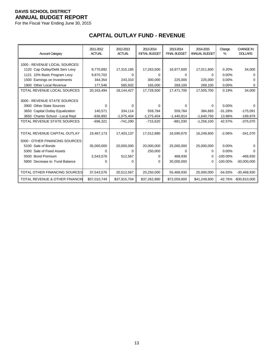For the Fiscal Year Ending June 30, 2015

# **CAPITAL OUTLAY FUND - REVENUE**

| <b>Account Category</b>              | 2011-2012<br><b>ACTUAL</b> | 2012-2013<br><b>ACTUAL</b> | 2013-2014<br><b>INITIAL BUDGET</b> | 2013-2014<br><b>FINAL BUDGET</b> | 2014-2015<br>ANNUAL BUDGET | Change<br>% | <b>CHANGE IN</b><br><b>DOLLARS</b> |
|--------------------------------------|----------------------------|----------------------------|------------------------------------|----------------------------------|----------------------------|-------------|------------------------------------|
| 1000 - REVENUE LOCAL SOURCES:        |                            |                            |                                    |                                  |                            |             |                                    |
| 1120 Cap Outlay/Debt Serv Levy       | 9,770,892                  | 17,315,185                 | 17,263,500                         | 16,977,600                       | 17,011,600                 | 0.20%       | 34,000                             |
| 1121 10% Basic Program Levy          | 9,870,702                  | 0                          |                                    | 0                                | $\Omega$                   | 0.00%       | 0                                  |
| Earnings on Investments<br>1500      | 344,354                    | 243,310                    | 300,000                            | 225,000                          | 225,000                    | 0.00%       | O                                  |
| <b>Other Local Revenue</b><br>1900   | 177,546                    | 585,932                    | 165,000                            | 269,100                          | 269,100                    | 0.00%       | 0                                  |
| TOTAL REVENUE LOCAL SOURCES          | 20,163,494                 | 18,144,427                 | 17,728,500                         | 17,471,700                       | 17,505,700                 | 0.19%       | 34,000                             |
|                                      |                            |                            |                                    |                                  |                            |             |                                    |
| 3000 - REVENUE STATE SOURCES         |                            |                            |                                    |                                  |                            |             |                                    |
| 3900 Other State Sources             | $\Omega$                   | O                          | 0                                  | 0                                | 0                          | 0.00%       | 0                                  |
| 3650 Capital Outlay Equalization     | 140,571                    | 334,114                    | 559,784                            | 559,784                          | 384,693                    | $-31.28%$   | $-175,091$                         |
| 3650 Charter School - Local Repl     | $-836,892$                 | $-1,075,404$               | $-1,275,404$                       | $-1,440,814$                     | $-1,640,793$               | 13.88%      | $-199,979$                         |
| <b>TOTAL REVENUE STATE SOURCES</b>   | $-696,321$                 | $-741,290$                 | $-715,620$                         | $-881,030$                       | $-1,256,100$               | 42.57%      | $-375,070$                         |
|                                      |                            |                            |                                    |                                  |                            |             |                                    |
| TOTAL REVENUE CAPITAL OUTLAY         | 19,467,173                 | 17,403,137                 | 17,012,880                         | 16,590,670                       | 16,249,600                 | $-2.06%$    | $-341,070$                         |
| 5000 - OTHER FINANCING SOURCES:      |                            |                            |                                    |                                  |                            |             |                                    |
| 5100 Sale of Bonds                   | 35,000,000                 | 20,000,000                 | 20,000,000                         | 25,000,000                       | 25,000,000                 | 0.00%       |                                    |
| 5300 Sale of Fixed Assets            | 0                          | 0                          | 250,000                            | 0                                | 0                          | 0.00%       | 0                                  |
| 5500 Bond Premium                    | 2,543,576                  | 512,567                    | 0                                  | 468,930                          | $\Omega$                   | $-100.00\%$ | $-468,930$                         |
| 5800 Decrease to Fund Balance        | 0                          | 0                          | 0                                  | 30,000,000                       | 0                          | $-100.00\%$ | $-30,000,000$                      |
|                                      |                            |                            |                                    |                                  |                            |             |                                    |
| <b>TOTAL OTHER FINANCING SOURCES</b> | 37,543,576                 | 20,512,567                 | 20,250,000                         | 55,468,930                       | 25,000,000                 | $-54.93%$   | $-30,468,930$                      |
| TOTAL REVENUE & OTHER FINANCIN       | \$57,010,749               | \$37,915,704               | \$37,262,880                       | \$72,059,600                     | \$41,249,600               |             | -42.76% -\$30,810,000              |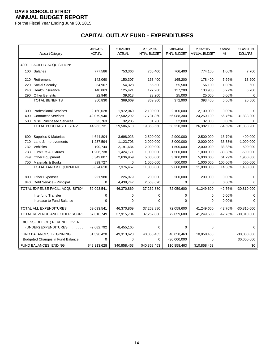For the Fiscal Year Ending June 30, 2015

# **CAPITAL OUTLAY FUND - EXPENDITURES**

|     | <b>Account Category</b>                 | 2011-2012<br><b>ACTUAL</b> | 2012-2013<br><b>ACTUAL</b> | 2013-2014<br><b>INITIAL BUDGET</b> | 2013-2014<br><b>FINAL BUDGET</b> | 2014-2015<br><b>ANNUAL BUDGET</b> | Change<br>% | <b>CHANGE IN</b><br><b>DOLLARS</b> |
|-----|-----------------------------------------|----------------------------|----------------------------|------------------------------------|----------------------------------|-----------------------------------|-------------|------------------------------------|
|     | 4000 - FACILITY ACQUISITION:            |                            |                            |                                    |                                  |                                   |             |                                    |
|     | 100 Salaries                            | 777,586                    | 753,366                    | 766,400                            | 766,400                          | 774,100                           | 1.00%       | 7,700                              |
| 210 | Retirement                              | 142,060                    | 150,307                    | 163,400                            | 165,200                          | 178,400                           | 7.99%       | 13,200                             |
| 220 | Social Security                         | 54,967                     | 54,328                     | 55,500                             | 55,500                           | 56,100                            | 1.08%       | 600                                |
| 240 | <b>Health Insurance</b>                 | 140,863                    | 125,421                    | 127,200                            | 127,200                          | 133,900                           | 5.27%       | 6,700                              |
| 290 | <b>Other Benefits</b>                   | 22,940                     | 39,613                     | 23,200                             | 25,000                           | 25,000                            | 0.00%       | $\Omega$                           |
|     | <b>TOTAL BENEFITS</b>                   | 360,830                    | 369,669                    | 369,300                            | 372,900                          | 393,400                           | 5.50%       | 20,500                             |
|     |                                         |                            |                            |                                    |                                  |                                   |             |                                    |
| 300 | <b>Professional Services</b>            | 2,160,028                  | 1,972,040                  | 2,100,000                          | 2,100,000                        | 2,100,000                         | 0.00%       | $\Omega$                           |
| 400 | <b>Contractor Services</b>              | 42,079,940                 | 27,502,292                 | 17,731,860                         | 56,088,300                       | 24,250,100                        | $-56.76%$   | $-31,838,200$                      |
| 500 | Misc. Purchased Services                | 23,763                     | 32,286                     | 31,700                             | 32,000                           | 32,000                            | 0.00%       | 0                                  |
|     | TOTAL PURCHASED SERV.                   | 44,263,731                 | 29,506,618                 | 19,863,560                         | 58,220,300                       | 26,382,100                        | $-54.69%$   | $-31,838,200$                      |
|     |                                         |                            |                            |                                    |                                  |                                   |             |                                    |
| 600 | Supplies & Materials                    | 4,644,804                  | 3,698,023                  | 2,500,000                          | 2,900,000                        | 2,500,000                         | $-13.79%$   | $-400,000$                         |
| 710 | Land & Improvements                     | 1,237,594                  | 1,123,703                  | 2,000,000                          | 3,000,000                        | 2,000,000                         | $-33.33%$   | $-1,000,000$                       |
| 732 | Vehicles                                | 190,744                    | 2,191,634                  | 2,000,000                          | 1,500,000                        | 2,000,000                         | 33.33%      | 500,000                            |
| 733 | <b>Furniture &amp; Fixtures</b>         | 1,206,738                  | 1,424,171                  | 1,000,000                          | 1,500,000                        | 1,000,000                         | $-33.33%$   | $-500,000$                         |
| 749 | Other Equipment                         | 5,349,807                  | 2,636,959                  | 5,000,000                          | 3,100,000                        | 5,000,000                         | 61.29%      | 1,900,000                          |
| 750 | <b>Materials &amp; Books</b>            | 839,727                    | 0                          | 1,000,000                          | 500,000                          | 1,000,000                         | 100.00%     | 500,000                            |
|     | <b>TOTAL LAND &amp; EQUIPMENT</b>       | 8,824,610                  | 7,376,467                  | 11,000,000                         | 9,600,000                        | 11,000,000                        | 14.58%      | 1,400,000                          |
| 800 | <b>Other Expenses</b>                   | 221,980                    | 226,979                    | 200,000                            | 200,000                          | 200,000                           | 0.00%       | $\Omega$                           |
| 840 | Debt Service - Principal                | 0                          | 4,439,747                  | 2,563,620                          | 0                                | 0                                 | 0.00%       | $\Omega$                           |
|     | TOTAL EXPENSE FACIL. ACQUISITION        | 59,093,541                 | 46,370,869                 | 37,262,880                         | 72,059,600                       | 41,249,600                        | $-42.76%$   | $-30,810,000$                      |
|     | Interfund Transfer                      | 0                          | 0                          | 0                                  | 0                                | 0                                 | 0.00%       | 0                                  |
|     | Increase to Fund Balance                | 0                          | $\mathbf 0$                | $\mathbf 0$                        | $\mathbf 0$                      | $\mathbf 0$                       | 0.00%       | $\Omega$                           |
|     | TOTAL ALL EXPENDITURES                  | 59,093,541                 | 46,370,869                 | 37,262,880                         | 72,059,600                       | 41,249,600                        | $-42.76%$   | $-30,810,000$                      |
|     | TOTAL REVENUE AND OTHER SOURC           | 57,010,749                 | 37,915,704                 | 37,262,880                         | 72,059,600                       | 41,249,600                        | $-42.76%$   | $-30,810,000$                      |
|     | EXCESS (DEFICIT) REVENUE OVER           |                            |                            |                                    |                                  |                                   |             |                                    |
|     | (UNDER) EXPENDITURES                    | $-2,082,792$               | $-8,455,165$               | $\mathbf 0$                        | $\mathbf 0$                      | $\Omega$                          |             | $\Omega$                           |
|     | FUND BALANCES, BEGINNING                | 51,396,420                 | 49,313,628                 | 40,858,463                         | 40,858,463                       | 10,858,463                        |             | $-30,000,000$                      |
|     | <b>Budgeted Changes in Fund Balance</b> | 0                          | $\Omega$                   | 0                                  | $-30,000,000$                    | $\Omega$                          |             | 30,000,000                         |
|     | FUND BALANCES, ENDING                   | \$49,313,628               | \$40,858,463               | \$40,858,463                       | \$10,858,463                     | \$10,858,463                      |             | \$0                                |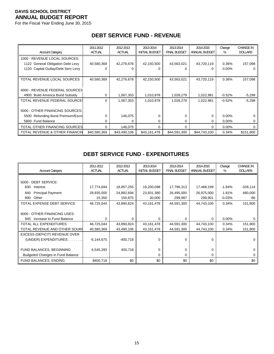For the Fiscal Year Ending June 30, 2015

|                                       | 2011-2012     | 2012-2013     | 2013-2014             | 2013-2014           | 2014-2015     | Change   | <b>CHANGE IN</b> |
|---------------------------------------|---------------|---------------|-----------------------|---------------------|---------------|----------|------------------|
| <b>Account Category</b>               | <b>ACTUAL</b> | <b>ACTUAL</b> | <b>INITIAL BUDGET</b> | <b>FINAL BUDGET</b> | ANNUAL BUDGET | %        | <b>DOLLARS</b>   |
| 1000 - REVENUE LOCAL SOURCES:         |               |               |                       |                     |               |          |                  |
| 1122 General Obligation Debt Levy     | 40,580,369    | 42,276,678    | 42,150,500            | 43,563,021          | 43,720,119    | 0.36%    | 157,098          |
| Capital Outlay/Debt Serv Levy<br>1120 |               | 0             | 0                     | 0                   | 0             | 0.00%    | 0                |
|                                       |               |               |                       |                     |               |          |                  |
| TOTAL REVENUE LOCAL SOURCES           | 40,580,369    | 42,276,678    | 42,150,500            | 43,563,021          | 43,720,119    | 0.36%    | 157,098          |
|                                       |               |               |                       |                     |               |          |                  |
| 4000 - REVENUE FEDERAL SOURCES        |               |               |                       |                     |               |          |                  |
| 4900 Build America Bond Subsidy       | 0             | 1,067,353     | 1,010,978             | 1,028,279           | 1,022,981     | $-0.52%$ | $-5,298$         |
| TOTAL REVENUE FEDERAL SOURCES         | $\Omega$      | 1,067,353     | 1,010,978             | 1,028,279           | 1,022,981     | $-0.52%$ | $-5,298$         |
|                                       |               |               |                       |                     |               |          |                  |
| 5000 - OTHER FINANCING SOURCES:       |               |               |                       |                     |               |          |                  |
| 5500 Refunding Bond Premium/Escro     |               | 146,075       | 0                     | 0                   | 0             | $0.00\%$ |                  |
| 5800 Fund Balance                     | 0             | $\Omega$      | 0                     | 0                   | 0             | $0.00\%$ | 0                |
| TOTAL OTHER FINANCING SOURCES         | 0             | 146,075       | 0                     | $\Omega$            | 0             | 0.00%    | 0                |
| TOTAL REVENUE & OTHER FINANCIN        | \$40,580,369  | \$43,490,106  | \$43,161,478          | \$44,591,300        | \$44,743,100  | 0.34%    | \$151,800        |

### **DEBT SERVICE FUND - REVENUE**

### **DEBT SERVICE FUND - EXPENDITURES**

| <b>Account Category</b>                 | 2011-2012<br><b>ACTUAL</b> | 2012-2013<br><b>ACTUAL</b> | 2013-2014<br><b>INITIAL BUDGET</b> | 2013-2014<br><b>FINAL BUDGET</b> | 2014-2015<br>ANNUAL BUDGET | Change<br>% | <b>CHANGE IN</b><br><b>DOLLARS</b> |
|-----------------------------------------|----------------------------|----------------------------|------------------------------------|----------------------------------|----------------------------|-------------|------------------------------------|
|                                         |                            |                            |                                    |                                  |                            |             |                                    |
| 5000 - DEBT SERVICE:                    |                            |                            |                                    |                                  |                            |             |                                    |
| 830<br>Interest                         | 17,774,694                 | 18,857,255                 | 19,200,098                         | 17,796,313                       | 17,468,199                 | $-1.84%$    | $-328,114$                         |
| <b>Principal Payment</b><br>840         | 28,935,000                 | 24,882,694                 | 23,931,380                         | 26,495,000                       | 26,975,000                 | 1.81%       | 480,000                            |
| Other<br>890                            | 15,350                     | 150,875                    | 30,000                             | 299,987                          | 299,901                    | $-0.03%$    | -86                                |
| TOTAL EXPENSE DEBT SERVICE              | 46,725,044                 | 43,890,824                 | 43,161,478                         | 44,591,300                       | 44,743,100                 | 0.34%       | 151,800                            |
|                                         |                            |                            |                                    |                                  |                            |             |                                    |
| 6000 - OTHER FINANCING USES:            |                            |                            |                                    |                                  |                            |             |                                    |
| Increase to Fund Balance<br>945         | 0                          | U                          | 0                                  | 0                                | 0                          | $0.00\%$    |                                    |
| TOTAL ALL EXPENDITURES                  | 46,725,044                 | 43,890,824                 | 43,161,478                         | 44,591,300                       | 44,743,100                 | 0.34%       | 151,800                            |
| TOTAL REVENUE AND OTHER SOURC           | 40,580,369                 | 43,490,106                 | 43,161,478                         | 44,591,300                       | 44,743,100                 | 0.34%       | 151,800                            |
| EXCESS (DEFICIT) REVENUE OVER           |                            |                            |                                    |                                  |                            |             |                                    |
| (UNDER) EXPENDITURES.                   | $-6, 144, 675$             | $-400,718$                 | 0                                  | $\Omega$                         | 0                          |             |                                    |
|                                         |                            |                            |                                    |                                  |                            |             |                                    |
| FUND BALANCES, BEGINNING                | 6,545,393                  | 400,718                    | 0                                  | 0                                | 0                          |             |                                    |
| <b>Budgeted Changes in Fund Balance</b> |                            |                            | 0                                  | 0                                | 0                          |             |                                    |
| FUND BALANCES, ENDING                   | \$400,718                  | \$0                        | \$0                                | \$0                              | \$0                        |             | \$0                                |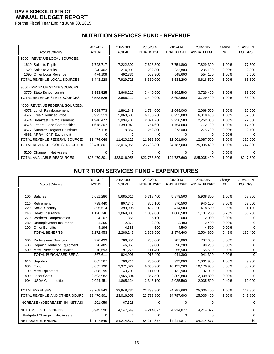For the Fiscal Year Ending June 30, 2015

## **NUTRITION SERVICES FUND - REVENUE**

|                                        | 2011-2012     | 2012-2013     | 2013-2014             | 2013-2014           | 2014-2015     | Change | <b>CHANGE IN</b> |
|----------------------------------------|---------------|---------------|-----------------------|---------------------|---------------|--------|------------------|
| <b>Account Category</b>                | <b>ACTUAL</b> | <b>ACTUAL</b> | <b>INITIAL BUDGET</b> | <b>FINAL BUDGET</b> | ANNUAL BUDGET | %      | <b>DOLLARS</b>   |
| 1000 - REVENUE LOCAL SOURCES:          |               |               |                       |                     |               |        |                  |
| 1610 Sales to Pupils                   | 7,728,717     | 7,222,390     | 7,623,300             | 7,751,800           | 7,829,300     | 1.00%  | 77,500           |
| Sales to Adults<br>1620                | 240,402       | 214,999       | 232.800               | 232.800             | 235.100       | 0.99%  | 2,300            |
| 1690 Other Local Revenue               | 474,109       | 492,336       | 503,900               | 548,600             | 554,100       | 1.00%  | 5,500            |
| TOTAL REVENUE LOCAL SOURCES            | 8,443,228     | 7,929,725     | 8,360,000             | 8,533,200           | 8,618,500     | 1.00%  | 85,300           |
| 3000 - REVENUE STATE SOURCES           |               |               |                       |                     |               |        |                  |
| 3770 State School Lunch                | 3,553,525     | 3,666,210     | 3,449,900             | 3,692,500           | 3,729,400     | 1.00%  | 36,900           |
| TOTAL REVENUE STATE SOURCES            | 3,553,525     | 3,666,210     | 3,449,900             | 3,692,500           | 3,729,400     | 1.00%  | 36,900           |
| 4000- REVENUE FEDERAL SOURCES:         |               |               |                       |                     |               |        |                  |
| Lunch Reimbursement<br>4571            | 1,699,773     | 1,891,849     | 1,734,600             | 2,048,000           | 2,068,500     | 1.00%  | 20,500           |
| 4572 Free / Reduced Price              | 5,922,313     | 5,860,683     | 6,160,700             | 6,255,800           | 6,318,400     | 1.00%  | 62,600           |
| <b>Breakfast Reimbursement</b><br>4574 | 1,946,477     | 2,094,786     | 2,021,700             | 2,230,500           | 2,252,800     | 1.00%  | 22,300           |
| 4576 Federal Food Commodities          | 1,678,367     | 1,393,943     | 1,754,600             | 1,754,600           | 1,772,100     | 1.00%  | 17,500           |
| Summer Program Reimburs.<br>4577       | 227,118       | 178,862       | 252,300               | 273,000             | 275,700       | 0.99%  | 2,700            |
| <b>ARRA - CNP Equipment</b><br>4661    | 0             | O             | U                     | 0                   | 0             | 0.00%  |                  |
| TOTAL REVENUE FEDERAL SOURCES          | 11,474,048    | 11,420,123    | 11,923,900            | 12,561,900          | 12,687,500    | 1.00%  | 125,600          |
| TOTAL REVENUE FOOD SERVICE FUI         | 23,470,801    | 23,016,058    | 23,733,800            | 24,787,600          | 25,035,400    | 1.00%  | 247,800          |
| 5200 Change in Net Assets              | $\Omega$      | 0             | 0                     | 0                   | 0             | 0.00%  | 0                |
| <b>TOTAL AVAILABLE RESOURCES</b>       | \$23,470,801  | \$23,016,058  | \$23,733,800          | \$24,787,600        | \$25,035,400  | 1.00%  | \$247,800        |

### **NUTRITION SERVICES FUND - EXPENDITURES**

|     |                                      | 2011-2012     | 2012-2013     | 2013-2014             | 2013-2014           | 2014-2015     | Change | <b>CHANGE IN</b> |
|-----|--------------------------------------|---------------|---------------|-----------------------|---------------------|---------------|--------|------------------|
|     | <b>Account Category</b>              | <b>ACTUAL</b> | <b>ACTUAL</b> | <b>INITIAL BUDGET</b> | <b>FINAL BUDGET</b> | ANNUAL BUDGET | %      | <b>DOLLARS</b>   |
|     |                                      |               |               |                       |                     |               |        |                  |
| 100 | Salaries                             | 5,681,286     | 5,685,616     | 5,718,400             | 5,879,500           | 5,938,300     | 1.00%  | 58,800           |
| 210 | Retirement                           | 738,440       | 807,740       | 865,100               | 870,500             | 940,100       | 8.00%  | 69,600           |
| 220 | Social Security                      | 395,514       | 399,998       | 402,200               | 414,500             | 418,600       | 0.99%  | 4,100            |
| 240 | <b>Health Insurance</b>              | 1,128,746     | 1,069,883     | 1,089,800             | 1,080,500           | 1,137,200     | 5.25%  | 56,700           |
| 270 | <b>Workers Compensation</b>          | 4,207         | 1,866         | 5,100                 | 2,000               | 2,000         | 0.00%  |                  |
| 280 | Unemployment Insurance               | 1,350         | 2,371         | 2,800                 | 2,400               | 2,400         | 0.00%  |                  |
| 290 | <b>Other Benefits</b>                | 4,196         | 4,385         | 4,500                 | 4,500               | 4,500         | 0.00%  |                  |
|     | <b>TOTAL BENEFITS</b>                | 2,272,453     | 2,286,243     | 2,369,500             | 2,374,400           | 2,504,800     | 5.49%  | 130,400          |
| 300 | <b>Professional Services</b>         | 776,433       | 786,856       | 766,000               | 787,600             | 787,600       | 0.00%  |                  |
| 400 | Repair / Rental of Equipment         | 20,485        | 46.865        | 39.000                | 98,200              | 98,200        | 0.00%  |                  |
| 500 | Misc. Purchased Services             | 70,693        | 91,275        | 111,400               | 55,500              | 55,500        | 0.00%  |                  |
|     | TOTAL PURCHASED SERV.                | 867,611       | 924,996       | 916,400               | 941,300             | 941,300       | 0.00%  | $\Omega$         |
| 610 | Supplies                             | 865,567       | 706,716       | 765,000               | 992,000             | 1,001,900     | 1.00%  | 9,900            |
| 630 | Food                                 | 8,655,196     | 9,371,022     | 9,650,900             | 10,132,200          | 10,170,900    | 0.38%  | 38,700           |
| 700 | Misc Equipment                       | 308,295       | 143,709       | 111,000               | 132,900             | 132,900       | 0.00%  |                  |
| 800 | <b>Other Costs</b>                   | 2,593,983     | 1,965,304     | 1,857,500             | 2,309,800           | 2,309,800     | 0.00%  |                  |
| 904 | <b>USDA Commodities</b>              | 2,024,451     | 1,865,124     | 2,345,100             | 2,025,500           | 2,035,500     | 0.49%  | 10,000           |
|     |                                      |               |               |                       |                     |               |        |                  |
|     | <b>TOTAL EXPENSES</b>                | 23,268,842    | 22,948,730    | 23,733,800            | 24,787,600          | 25,035,400    | 1.00%  | 247,800          |
|     | TOTAL REVENUE AND OTHER SOURC        | 23,470,801    | 23,016,058    | 23,733,800            | 24,787,600          | 25,035,400    | 1.00%  | 247,800          |
|     | INCREASE / (DECREASE) IN NET AS:     | 201,959       | 67,328        | 0                     | 0                   | $\Omega$      |        | 0                |
|     | NET ASSETS, BEGINNING                | 3,945,590     | 4,147,549     | 4,214,877             | 4,214,877           | 4,214,877     |        | 0                |
|     | <b>Budgeted Change in Net Assets</b> | 0             | 0             | 0                     | $\Omega$            | 0             |        | 0                |
|     | NET ASSETS, ENDING                   | \$4,147,549   | \$4,214,877   | \$4,214,877           | \$4,214,877         | \$4,214,877   |        | \$0              |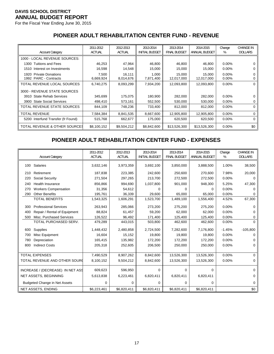For the Fiscal Year Ending June 30, 2015

# **PIONEER ADULT REHABILITATION CENTER FUND - REVENUE**

| <b>Account Category</b>                                   | 2011-2012<br><b>ACTUAL</b> | 2012-2013<br><b>ACTUAL</b> | 2013-2014<br><b>INITIAL BUDGET</b> | 2013-2014<br><b>FINAL BUDGET</b> | 2014-2015<br>ANNUAL BUDGET | Change<br>%          | <b>CHANGE IN</b><br><b>DOLLARS</b> |
|-----------------------------------------------------------|----------------------------|----------------------------|------------------------------------|----------------------------------|----------------------------|----------------------|------------------------------------|
| 1000 - LOCAL REVENUE SOURCES:                             |                            |                            |                                    |                                  |                            |                      |                                    |
| 1300 Tuitions and Fees                                    | 46,253                     | 47,964                     | 46,800                             | 46,800                           | 46,800                     | $0.00\%$             | 0                                  |
| Interest on Investments<br>1510                           | 16,598                     | 14,548                     | 15,000                             | 15,000                           | 15,000                     | $0.00\%$             | 0                                  |
| <b>Private Donations</b><br>1920<br>1992 PARC - Contracts | 7,500<br>6,669,924         | 16.111<br>8,014,676        | 1,000<br>7,871,400                 | 15.000<br>12,017,000             | 15.000<br>12,017,000       | $0.00\%$<br>$0.00\%$ | 0<br>0                             |
| TOTAL REVENUE LOCAL SOURCES                               | 6,740,275                  | 8,093,299                  | 7,934,200                          | 12,093,800                       | 12,093,800                 | $0.00\%$             | 0                                  |
| 3000 - REVENUE STATE SOURCES                              |                            |                            |                                    |                                  |                            |                      |                                    |
| 3910 State Rehab Services                                 | 345,699                    | 175,075                    | 180,900                            | 282,000                          | 282,000                    | $0.00\%$             | 0                                  |
| <b>State Social Services</b><br>3900                      | 498,410                    | 573,161                    | 552,500                            | 530,000                          | 530,000                    | $0.00\%$             | 0                                  |
| TOTAL REVENUE STATE SOURCES                               | 844,109                    | 748,236                    | 733,400                            | 812,000                          | 812.000                    | $0.00\%$             | 0                                  |
| <b>TOTAL REVENUE</b>                                      | 7,584,384                  | 8,841,535                  | 8,667,600                          | 12,905,800                       | 12,905,800                 | $0.00\%$             | 0                                  |
| 5200 Interfund Transfer (fr Found)                        | 515,768                    | 662,677                    | 175,000                            | 620,500                          | 620,500                    | $0.00\%$             | 0                                  |
| TOTAL REVENUE & OTHER SOURCES                             | \$8,100,152                | \$9,504,212                | \$8,842,600                        | \$13,526,300                     | \$13,526,300               | $0.00\%$             | \$0                                |

## **PIONEER ADULT REHABILITATION CENTER FUND - EXPENSES**

|     | <b>Account Category</b>              | 2011-2012<br><b>ACTUAL</b> | 2012-2013<br><b>ACTUAL</b> | 2013-2014<br><b>INITIAL BUDGET</b> | 2013-2014<br><b>FINAL BUDGET</b> | 2014-2015<br>ANNUAL BUDGET | Change<br>% | <b>CHANGE IN</b><br><b>DOLLARS</b> |
|-----|--------------------------------------|----------------------------|----------------------------|------------------------------------|----------------------------------|----------------------------|-------------|------------------------------------|
| 100 | Salaries                             | 3,632,146                  | 3,973,359                  | 3,692,100                          | 3,850,000                        | 3,888,500                  | 1.00%       | 38,500                             |
|     |                                      |                            |                            |                                    |                                  |                            |             |                                    |
| 210 | Retirement                           | 187,838                    | 223,385                    | 242,600                            | 250,600                          | 270,600                    | 7.98%       | 20,000                             |
| 220 | Social Security                      | 271,504                    | 297,265                    | 213,700                            | 272,500                          | 272,500                    | 0.00%       |                                    |
| 240 | <b>Health Insurance</b>              | 856,866                    | 994,690                    | 1,037,800                          | 901,000                          | 948,300                    | 5.25%       | 47,300                             |
| 270 | <b>Workers Compensation</b>          | 31,356                     | 54.612                     |                                    | $\Omega$                         | 0                          | 0.00%       |                                    |
| 290 | <b>Other Benefits</b>                | 195,761                    | 36,339                     | 29,600                             | 65,000                           | 65,000                     | 0.00%       |                                    |
|     | <b>TOTAL BENEFITS</b>                | 1,543,325                  | 1,606,291                  | 1,523,700                          | 1,489,100                        | 1,556,400                  | 4.52%       | 67,300                             |
| 300 | <b>Professional Services</b>         | 263,943                    | 285,066                    | 273,200                            | 275,200                          | 275,200                    | 0.00%       | 0                                  |
| 400 | Repair / Rental of Equipment         | 88,824                     | 61,457                     | 59,200                             | 62,000                           | 62,000                     | 0.00%       |                                    |
| 500 | Misc. Purchased Services             | 126,522                    | 96,492                     | 171,400                            | 125,400                          | 125,400                    | 0.00%       | 0                                  |
|     | TOTAL PURCHASED SERV.                | 479,289                    | 443,015                    | 503,800                            | 462,600                          | 462,600                    | 0.00%       | $\Omega$                           |
| 600 | Supplies                             | 1,448,432                  | 2,480,858                  | 2,724,500                          | 7,282,600                        | 7,176,800                  | $-1.45%$    | $-105,800$                         |
| 700 | Misc Equipment                       | 16,604                     | 15,152                     | 19,800                             | 19,800                           | 19,800                     | 0.00%       |                                    |
| 780 | Depreciation                         | 165,415                    | 135,982                    | 172,200                            | 172,200                          | 172,200                    | 0.00%       |                                    |
| 800 | <b>Indirect Costs</b>                | 205,318                    | 252,605                    | 206,500                            | 250,000                          | 250,000                    | 0.00%       | 0                                  |
|     |                                      |                            |                            |                                    |                                  |                            |             |                                    |
|     | <b>TOTAL EXPENSES</b>                | 7,490,529                  | 8,907,262                  | 8,842,600                          | 13,526,300                       | 13,526,300                 | 0.00%       | $\Omega$                           |
|     | TOTAL REVENUE AND OTHER SOURC        | 8,100,152                  | 9,504,212                  | 8,842,600                          | 13,526,300                       | 13,526,300                 | 0.00%       | $\Omega$                           |
|     | INCREASE / (DECREASE) IN NET ASS     | 609,623                    | 596,950                    | 0                                  | $\Omega$                         | $\Omega$                   |             | $\Omega$                           |
|     | NET ASSETS, BEGINNING                | 5,613,838                  | 6,223,461                  | 6,820,411                          | 6,820,411                        | 6,820,411                  |             | 0                                  |
|     | <b>Budgeted Change in Net Assets</b> | 0                          | 0                          | 0                                  | 0                                | 0                          |             | 0                                  |
|     | NET ASSETS, ENDING                   | \$6,223,461                | \$6,820,411                | \$6,820,411                        | \$6,820,411                      | \$6,820,411                |             | \$0                                |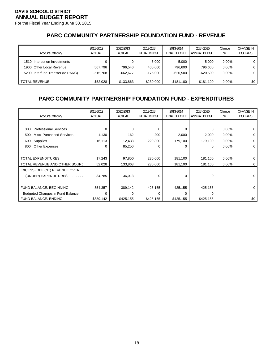For the Fiscal Year Ending June 30, 2015

## **PARC COMMUNITY PARTNERSHIP FOUNDATION FUND - REVENUE**

| <b>Account Category</b>                                                                       | 2011-2012<br><b>ACTUAL</b> | 2012-2013<br><b>ACTUAL</b> | 2013-2014<br><b>INITIAL BUDGET</b> | 2013-2014<br><b>FINAL BUDGET</b> | 2014-2015<br>ANNUAL BUDGET     | Change<br>%                      | <b>CHANGE IN</b><br><b>DOLLARS</b> |
|-----------------------------------------------------------------------------------------------|----------------------------|----------------------------|------------------------------------|----------------------------------|--------------------------------|----------------------------------|------------------------------------|
| 1510 Interest on Investments<br>1900 Other Local Revenue<br>5200 Interfund Transfer (to PARC) | 567.796<br>$-515.768$      | 796,540<br>$-662.677$      | 5.000<br>400,000<br>-175.000       | 5.000<br>796.600<br>$-620,500$   | 5.000<br>796.600<br>$-620.500$ | $0.00\%$<br>$0.00\%$<br>$0.00\%$ |                                    |
| <b>TOTAL REVENUE</b>                                                                          | \$52,028                   | \$133,863                  | \$230,000                          | \$181.100                        | \$181.100                      | $0.00\%$                         | \$0                                |

### **PARC COMMUNITY PARTNERSHIP FOUNDATION FUND - EXPENDITURES**

| <b>Account Category</b>                 | 2011-2012<br><b>ACTUAL</b> | 2012-2013<br><b>ACTUAL</b> | 2013-2014<br><b>INITIAL BUDGET</b> | 2013-2014<br><b>FINAL BUDGET</b> | 2014-2015<br>ANNUAL BUDGET | Change<br>% | <b>CHANGE IN</b><br><b>DOLLARS</b> |
|-----------------------------------------|----------------------------|----------------------------|------------------------------------|----------------------------------|----------------------------|-------------|------------------------------------|
|                                         |                            |                            |                                    |                                  |                            |             |                                    |
| <b>Professional Services</b><br>300     | $\Omega$                   | O                          | $\Omega$                           | 0                                | $\Omega$                   | $0.00\%$    |                                    |
| Misc. Purchased Services<br>500         | 1,130                      | 162                        | 200                                | 2,000                            | 2,000                      | $0.00\%$    | 0                                  |
| Supplies<br>600                         | 16,113                     | 12,438                     | 229,800                            | 179,100                          | 179,100                    | $0.00\%$    | 0                                  |
| <b>Other Expenses</b><br>800            | 0                          | 85,250                     | 0                                  | 0                                | $\Omega$                   | $0.00\%$    | 0                                  |
|                                         |                            |                            |                                    |                                  |                            |             |                                    |
| <b>TOTAL EXPENDITURES</b>               | 17,243                     | 97,850                     | 230,000                            | 181,100                          | 181,100                    | $0.00\%$    | 0                                  |
| TOTAL REVENUE AND OTHER SOURC           | 52,028                     | 133,863                    | 230,000                            | 181,100                          | 181,100                    | 0.00%       | 0                                  |
| EXCESS (DEFICIT) REVENUE OVER           |                            |                            |                                    |                                  |                            |             |                                    |
| (UNDER) EXPENDITURES.                   | 34,785                     | 36,013                     | $\Omega$                           | 0                                | $\Omega$                   |             | 0                                  |
|                                         |                            |                            |                                    |                                  |                            |             |                                    |
| FUND BALANCE, BEGINNING                 | 354,357                    | 389,142                    | 425,155                            | 425,155                          | 425,155                    |             | 0                                  |
| <b>Budgeted Changes in Fund Balance</b> | $\Omega$                   | 0                          | 0                                  | 0                                | 0                          |             |                                    |
| FUND BALANCE, ENDING                    | \$389,142                  | \$425,155                  | \$425,155                          | \$425,155                        | \$425,155                  |             | \$0                                |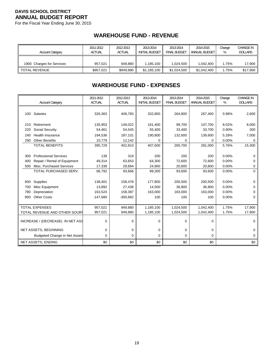For the Fiscal Year Ending June 30, 2015

### **WAREHOUSE FUND - REVENUE**

| <b>Account Category</b>   | 2011-2012<br><b>ACTUAL</b> | 2012-2013<br><b>ACTUAL</b> | 2013-2014<br><b>INITIAL BUDGET</b> | 2013-2014<br>FINAL BUDGET | 2014-2015<br>ANNUAL BUDGET | Change<br>% | <b>CHANGE IN</b><br><b>DOLLARS</b> |
|---------------------------|----------------------------|----------------------------|------------------------------------|---------------------------|----------------------------|-------------|------------------------------------|
| 1900 Charges for Services | 957,021                    | 949.880                    | 1.185.100                          | 1.024.500                 | 1.042.400                  | 1.75%       | 17,900                             |
| <b>TOTAL REVENUE</b>      | \$957.021                  | \$949.880                  | \$1,185,100                        | \$1,024,500               | \$1,042,400                | 1.75%       | \$17,900                           |

### **WAREHOUSE FUND - EXPENSES**

|     | <b>Account Category</b>              | 2011-2012<br><b>ACTUAL</b> | 2012-2013<br><b>ACTUAL</b> | 2013-2014<br><b>INITIAL BUDGET</b> | 2013-2014<br><b>FINAL BUDGET</b> | 2014-2015<br>ANNUAL BUDGET | Change<br>% | <b>CHANGE IN</b><br><b>DOLLARS</b> |
|-----|--------------------------------------|----------------------------|----------------------------|------------------------------------|----------------------------------|----------------------------|-------------|------------------------------------|
|     | 100 Salaries                         | 326,363                    | 409,783                    | 332,800                            | 264,800                          | 267,400                    | 0.98%       | 2,600                              |
| 210 | Retirement                           | 135,953                    | 149,022                    | 161,400                            | 99,700                           | 107,700                    | 8.02%       | 8,000                              |
| 220 | Social Security                      | 54,461                     | 54,545                     | 55,400                             | 33,400                           | 33,700                     | 0.90%       | 300                                |
| 240 | Health Insurance                     | 194,536                    | 187,101                    | 190,800                            | 132,600                          | 139,600                    | 5.28%       | 7,000                              |
| 290 | <b>Other Benefits</b>                | 10,779                     | 12,142                     | 0                                  | $\Omega$                         | $\Omega$                   | 0.00%       | 0                                  |
|     | <b>TOTAL BENEFITS</b>                | 395,729                    | 402,810                    | 407,600                            | 265,700                          | 281,000                    | 5.76%       | 15,300                             |
|     |                                      |                            |                            |                                    |                                  |                            |             |                                    |
| 300 | <b>Professional Services</b>         | 139                        | 319                        | 200                                | 200                              | 200                        | 0.00%       | 0                                  |
| 400 | Repair / Rental of Equipment         | 49,314                     | 63,653                     | 64,300                             | 72,600                           | 72,600                     | 0.00%       | 0                                  |
| 500 | Misc. Purchased Services             | 17,339                     | 29,694                     | 24,800                             | 20,800                           | 20,800                     | 0.00%       | 0                                  |
|     | TOTAL PURCHASED SERV.                | 66,792                     | 93,666                     | 89,300                             | 93,600                           | 93,600                     | 0.00%       | $\Omega$                           |
|     |                                      |                            |                            |                                    |                                  |                            |             |                                    |
| 600 | Supplies                             | 138,401                    | 158,478                    | 177.800                            | 200,500                          | 200,500                    | 0.00%       | 0                                  |
| 700 | Misc Equipment                       | 13,892                     | 27,438                     | 14,500                             | 36,800                           | 36,800                     | 0.00%       | 0                                  |
| 780 | Depreciation                         | 163,524                    | 158,387                    | 163,000                            | 163,000                          | 163,000                    | 0.00%       | 0                                  |
| 800 | <b>Other Costs</b>                   | $-147,680$                 | $-300,682$                 | 100                                | 100                              | 100                        | 0.00%       | 0                                  |
|     |                                      |                            |                            |                                    |                                  |                            |             |                                    |
|     | <b>TOTAL EXPENSES</b>                | 957,021                    | 949,880                    | 1,185,100                          | 1,024,500                        | 1,042,400                  | 1.75%       | 17,900                             |
|     | TOTAL REVENUE AND OTHER SOUR         | 957,021                    | 949,880                    | 1,185,100                          | 1,024,500                        | 1,042,400                  | 1.75%       | 17,900                             |
|     | INCREASE / (DECREASE) IN NET ASS     | $\mathbf 0$                | 0                          | 0                                  | 0                                | 0                          |             | $\Omega$                           |
|     | NET ASSETS, BEGINNING                | $\mathbf 0$                | $\Omega$                   | 0                                  | 0                                | 0                          |             | 0                                  |
|     | <b>Budgeted Change in Net Assets</b> | $\mathbf 0$                | $\mathbf 0$                | 0                                  | 0                                | 0                          |             | 0                                  |
|     | NET ASSETS, ENDING                   | \$0                        | \$0                        | \$0                                | \$0                              | \$0                        |             | \$0                                |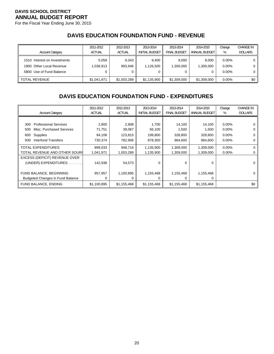For the Fiscal Year Ending June 30, 2015

### **DAVIS EDUCATION FOUNDATION FUND - REVENUE**

| <b>Account Category</b>                                                              | 2011-2012<br><b>ACTUAL</b> | 2012-2013<br><b>ACTUAL</b> | 2013-2014<br><b>INITIAL BUDGET</b> | 2013-2014<br><b>FINAL BUDGET</b> | 2014-2015<br>ANNUAL BUDGET | Change<br>%                      | <b>CHANGE IN</b><br><b>DOLLARS</b> |
|--------------------------------------------------------------------------------------|----------------------------|----------------------------|------------------------------------|----------------------------------|----------------------------|----------------------------------|------------------------------------|
| 1510 Interest on Investments<br>1900 Other Local Revenue<br>5800 Use of Fund Balance | 5,058<br>1,036,913         | 9.343<br>993,946           | 9.400<br>1,126,500                 | 9.000<br>1,300,000<br>0          | 9.000<br>1,300,000<br>0    | $0.00\%$<br>$0.00\%$<br>$0.00\%$ | 0 I<br>0 I<br>0 I                  |
| <b>TOTAL REVENUE</b>                                                                 | \$1,041,971                | \$1,003,289                | \$1,135,900                        | \$1,309,000                      | \$1,309,000                | $0.00\%$                         | \$0 I                              |

### **DAVIS EDUCATION FOUNDATION FUND - EXPENDITURES**

|                                         | 2011-2012     | 2012-2013     | 2013-2014             | 2013-2014           | 2014-2015     | Change   | <b>CHANGE IN</b> |
|-----------------------------------------|---------------|---------------|-----------------------|---------------------|---------------|----------|------------------|
| <b>Account Category</b>                 | <b>ACTUAL</b> | <b>ACTUAL</b> | <b>INITIAL BUDGET</b> | <b>FINAL BUDGET</b> | ANNUAL BUDGET | %        | <b>DOLLARS</b>   |
|                                         |               |               |                       |                     |               |          |                  |
| <b>Professional Services</b><br>300     | 2,800         | 2,908         | 1,700                 | 14,100              | 14,100        | $0.00\%$ |                  |
| Misc. Purchased Services<br>500         | 71,751        | 39,087        | 56,100                | 1,500               | 1,500         | $0.00\%$ | C                |
| Supplies<br>600                         | 94,108        | 123,815       | 199,800               | 328,800             | 328,800       | $0.00\%$ |                  |
| Interfund Transfers<br>930              | 730,374       | 782,906       | 878,300               | 964,600             | 964,600       | $0.00\%$ | O                |
| <b>TOTAL EXPENDITURES</b>               | 899,033       | 948,716       | 1,135,900             | 1,309,000           | 1,309,000     | $0.00\%$ |                  |
| TOTAL REVENUE AND OTHER SOURI           | 1,041,971     | 1,003,289     | 1,135,900             | 1,309,000           | 1,309,000     | $0.00\%$ |                  |
| EXCESS (DEFICIT) REVENUE OVER           |               |               |                       |                     |               |          |                  |
| (UNDER) EXPENDITURES                    | 142,938       | 54,573        | 0                     | 0                   | $\Omega$      |          | O                |
|                                         |               |               |                       |                     |               |          |                  |
| FUND BALANCE, BEGINNING                 | 957,957       | 1,100,895     | 1,155,468             | 1,155,468           | 1,155,468     |          |                  |
| <b>Budgeted Changes in Fund Balance</b> | 0             | 0             |                       | 0                   | 0             |          |                  |
| FUND BALANCE, ENDING                    | \$1,100,895   | \$1,155,468   | \$1,155,468           | \$1,155,468         | \$1,155,468   |          | \$0              |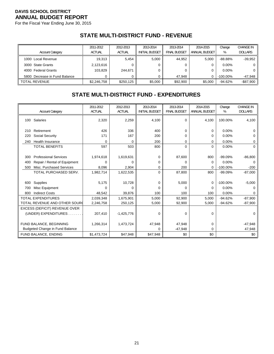For the Fiscal Year Ending June 30, 2015

# **STATE MULTI-DISTRICT FUND - REVENUE**

|                               | 2011-2012     | 2012-2013     | 2013-2014      | 2013-2014    | 2014-2015     | Change      | <b>CHANGE IN</b> |
|-------------------------------|---------------|---------------|----------------|--------------|---------------|-------------|------------------|
| <b>Account Category</b>       | <b>ACTUAL</b> | <b>ACTUAL</b> | INITIAL BUDGET | FINAL BUDGET | ANNUAL BUDGET | %           | <b>DOLLARS</b>   |
| 1000 Local Revenue            | 19.313        | 5.454         | 5.000          | 44,952       | 5.000         | $-88.88\%$  | $-39,952$        |
| 3000 State Grants             | 2,123,616     |               |                | 0            | 0             | $0.00\%$    | 0 I              |
| 4000 Federal Grants           | 103,829       | 244.671       |                | 0            | 0             | $0.00\%$    | 0 I              |
| 5800 Decrease in Fund Balance |               |               |                | 47.948       | 0             | $-100.00\%$ | $-47,948$        |
| <b>TOTAL REVENUE</b>          | \$2.246.758   | \$250,125     | \$5.000        | \$92,900     | \$5,000       | -94.62%     | $-$ \$87,900     |

## **STATE MULTI-DISTRICT FUND - EXPENDITURES**

|     |                                        | 2011-2012     | 2012-2013     | 2013-2014             | 2013-2014           | 2014-2015     | Change      | <b>CHANGE IN</b> |
|-----|----------------------------------------|---------------|---------------|-----------------------|---------------------|---------------|-------------|------------------|
|     | <b>Account Category</b>                | <b>ACTUAL</b> | <b>ACTUAL</b> | <b>INITIAL BUDGET</b> | <b>FINAL BUDGET</b> | ANNUAL BUDGET | %           | <b>DOLLARS</b>   |
|     | 100 Salaries                           | 2,320         | 2,259         | 4,100                 | 0                   | 4,100         | 100.00%     | 4,100            |
| 210 | Retirement                             | 426           | 336           | 400                   | 0                   | $\Omega$      | 0.00%       | 0                |
| 220 | Social Security                        | 171           | 167           | 200                   | 0                   | 0             | 0.00%       | 0                |
| 240 | <b>Health Insurance</b>                | $\Omega$      | $\Omega$      | 200                   | 0                   | 0             | 0.00%       | 0                |
|     | <b>TOTAL BENEFITS</b>                  | 597           | 503           | 800                   | $\Omega$            | $\Omega$      | $0.00\%$    | $\Omega$         |
|     |                                        |               |               |                       |                     |               |             |                  |
| 300 | <b>Professional Services</b>           | 1,974,618     | 1,619,631     | 0                     | 87,600              | 800           | $-99.09%$   | $-86,800$        |
| 400 | Repair / Rental of Equipment           | $\Omega$      | U             | 0                     | $\Omega$            | $\Omega$      | 0.00%       | $\Omega$         |
| 500 | Misc. Purchased Services               | 8,096         | 2,904         | 0                     | 200                 | $\Omega$      | $-100.00\%$ | $-200$           |
|     | TOTAL PURCHASED SERV.                  | 1,982,714     | 1,622,535     | $\Omega$              | 87,800              | 800           | $-99.09%$   | $-87,000$        |
|     |                                        |               |               |                       |                     |               |             |                  |
| 600 | Supplies                               | 5,175         | 10,728        | 0                     | 5,000               | 0             | $-100.00\%$ | $-5,000$         |
| 700 | Misc Equipment                         | 0             | 0             | 0                     | 0                   | $\Omega$      | 0.00%       |                  |
| 800 | <b>Indirect Costs</b>                  | 48,542        | 39,876        | 100                   | 100                 | 100           | $0.00\%$    | 0                |
|     | <b>TOTAL EXPENDITURES</b>              | 2,039,348     | 1,675,901     | 5,000                 | 92,900              | 5,000         | $-94.62%$   | $-87,900$        |
|     | TOTAL REVENUE AND OTHER SOURC          | 2,246,758     | 250,125       | 5,000                 | 92,900              | 5,000         | $-94.62%$   | $-87,900$        |
|     | EXCESS (DEFICIT) REVENUE OVER          |               |               |                       |                     |               |             |                  |
|     | (UNDER) EXPENDITURES                   | 207,410       | $-1,425,776$  | 0                     | 0                   | $\mathbf 0$   |             | $\Omega$         |
|     |                                        |               |               |                       |                     |               |             |                  |
|     | FUND BALANCE, BEGINNING                | 1,266,314     | 1,473,724     | 47,948                | 47,948              | 0             |             | $-47,948$        |
|     | <b>Budgeted Change in Fund Balance</b> |               |               | 0                     | $-47,948$           | $\Omega$      |             | 47,948           |
|     | FUND BALANCE, ENDING                   | \$1,473,724   | \$47,948      | \$47,948              | \$0                 | \$0           |             | \$0              |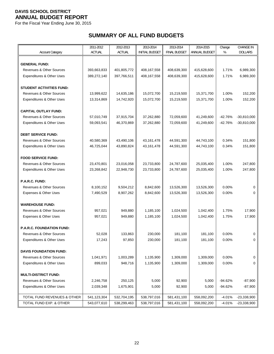For the Fiscal Year Ending June 30, 2015

# **SUMMARY OF ALL FUND BUDGETS**

|                                      | 2011-2012     | 2012-2013     | 2013-2014             | 2013-2014           | 2014-2015     | Change    | <b>CHANGE IN</b> |
|--------------------------------------|---------------|---------------|-----------------------|---------------------|---------------|-----------|------------------|
| <b>Account Category</b>              | <b>ACTUAL</b> | <b>ACTUAL</b> | <b>INITIAL BUDGET</b> | <b>FINAL BUDGET</b> | ANNUAL BUDGET | %         | <b>DOLLARS</b>   |
|                                      |               |               |                       |                     |               |           |                  |
| <b>GENERAL FUND:</b>                 |               |               |                       |                     |               |           |                  |
| Revenues & Other Sources             | 393,663,833   | 401,805,772   | 408,167,558           | 408,639,300         | 415,628,600   | 1.71%     | 6,989,300        |
| Expenditures & Other Uses            | 389,272,140   | 397,766,511   | 408,167,558           | 408,639,300         | 415,628,600   | 1.71%     | 6,989,300        |
| <b>STUDENT ACTIVITIES FUND:</b>      |               |               |                       |                     |               |           |                  |
| <b>Revenues &amp; Other Sources</b>  | 13,999,622    | 14,635,186    | 15,072,700            | 15,219,500          | 15,371,700    | 1.00%     | 152,200          |
| <b>Expenditures &amp; Other Uses</b> | 13,314,869    | 14,742,920    | 15,072,700            | 15,219,500          | 15,371,700    | 1.00%     | 152,200          |
|                                      |               |               |                       |                     |               |           |                  |
| <b>CAPITAL OUTLAY FUND:</b>          |               |               |                       |                     |               |           |                  |
| <b>Revenues &amp; Other Sources</b>  | 57,010,749    | 37,915,704    | 37,262,880            | 72,059,600          | 41,249,600    | $-42.76%$ | $-30,810,000$    |
| Expenditures & Other Uses            | 59,093,541    | 46,370,869    | 37,262,880            | 72,059,600          | 41,249,600    | $-42.76%$ | $-30,810,000$    |
|                                      |               |               |                       |                     |               |           |                  |
| <b>DEBT SERVICE FUND:</b>            |               |               |                       |                     |               |           |                  |
| <b>Revenues &amp; Other Sources</b>  | 40,580,369    | 43,490,106    | 43, 161, 478          | 44,591,300          | 44,743,100    | 0.34%     | 151,800          |
| Expenditures & Other Uses            | 46,725,044    | 43,890,824    | 43, 161, 478          | 44,591,300          | 44,743,100    | 0.34%     | 151,800          |
|                                      |               |               |                       |                     |               |           |                  |
| <b>FOOD SERVICE FUND:</b>            |               |               |                       |                     |               |           |                  |
| <b>Revenues &amp; Other Sources</b>  | 23,470,801    | 23,016,058    | 23,733,800            | 24,787,600          | 25,035,400    | 1.00%     | 247,800          |
| Expenditures & Other Uses            | 23,268,842    | 22,948,730    | 23,733,800            | 24,787,600          | 25,035,400    | 1.00%     | 247,800          |
|                                      |               |               |                       |                     |               |           |                  |
| P.A.R.C. FUND:                       |               |               |                       |                     |               |           |                  |
| <b>Revenues &amp; Other Sources</b>  | 8,100,152     | 9,504,212     | 8,842,600             | 13,526,300          | 13,526,300    | 0.00%     | $\Omega$         |
| Expenses & Other Uses                | 7,490,529     | 8,907,262     | 8,842,600             | 13,526,300          | 13,526,300    | 0.00%     | 0                |
|                                      |               |               |                       |                     |               |           |                  |
| <b>WAREHOUSE FUND:</b>               |               |               |                       |                     |               |           |                  |
| Revenues & Other Sources             | 957,021       | 949,880       | 1,185,100             | 1,024,500           | 1,042,400     | 1.75%     | 17,900           |
| Expenses & Other Uses                | 957,021       | 949,880       | 1,185,100             | 1,024,500           | 1,042,400     | 1.75%     | 17,900           |
| <b>P.A.R.C. FOUNDATION FUND:</b>     |               |               |                       |                     |               |           |                  |
| <b>Revenues &amp; Other Sources</b>  | 52,028        | 133,863       | 230,000               | 181,100             | 181,100       | $0.00\%$  | 0                |
| Expenditures & Other Uses            | 17,243        | 97,850        | 230,000               | 181,100             | 181,100       | 0.00%     | 0                |
|                                      |               |               |                       |                     |               |           |                  |
| <b>DAVIS FOUNDATION FUND:</b>        |               |               |                       |                     |               |           |                  |
| <b>Revenues &amp; Other Sources</b>  | 1,041,971     | 1,003,289     | 1,135,900             | 1,309,000           | 1,309,000     | 0.00%     | 0                |
| Expenditures & Other Uses            | 899,033       | 948,716       | 1,135,900             | 1,309,000           | 1,309,000     | 0.00%     | 0                |
|                                      |               |               |                       |                     |               |           |                  |
| <b>MULTI-DISTRICT FUND:</b>          |               |               |                       |                     |               |           |                  |
| <b>Revenues &amp; Other Sources</b>  | 2,246,758     | 250,125       | 5,000                 | 92,900              | 5,000         | $-94.62%$ | $-87,900$        |
| Expenditures & Other Uses            | 2,039,348     | 1,675,901     | 5,000                 | 92,900              | 5,000         | $-94.62%$ | $-87,900$        |
|                                      |               |               |                       |                     |               |           |                  |
| TOTAL FUND REVENUES & OTHER          | 541,123,304   | 532,704,195   | 538,797,016           | 581,431,100         | 558,092,200   | $-4.01%$  | $-23,338,900$    |
| TOTAL FUND EXP. & OTHER              | 543,077,610   | 538,299,463   | 538,797,016           | 581,431,100         | 558,092,200   | $-4.01%$  | $-23,338,900$    |